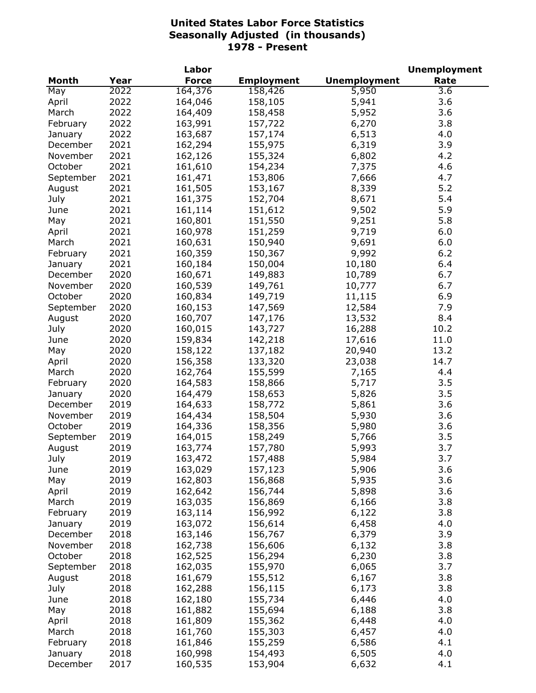| <b>Month</b><br><b>Force</b><br><b>Unemployment</b><br>Rate<br>Year<br><b>Employment</b><br>2022<br>164,376<br>158,426<br>5,950<br>3.6<br>May<br>2022<br>164,046<br>158,105<br>5,941<br>3.6<br>April<br>2022<br>3.6<br>164,409<br>158,458<br>March<br>5,952<br>2022<br>6,270<br>3.8<br>February<br>163,991<br>157,722<br>2022<br>157,174<br>4.0<br>163,687<br>6,513<br>January<br>2021<br>155,975<br>6,319<br>3.9<br>December<br>162,294<br>2021<br>162,126<br>155,324<br>6,802<br>4.2<br>November<br>2021<br>161,610<br>4.6<br>October<br>154,234<br>7,375<br>2021<br>161,471<br>153,806<br>7,666<br>4.7<br>September<br>5.2<br>2021<br>161,505<br>153,167<br>8,339<br>August<br>5.4<br>July<br>2021<br>161,375<br>152,704<br>8,671<br>9,502<br>5.9<br>2021<br>161,114<br>151,612<br>June<br>151,550<br>9,251<br>5.8<br>2021<br>160,801<br>May<br>160,978<br>151,259<br>9,719<br>2021<br>6.0<br>April<br>2021<br>160,631<br>150,940<br>9,691<br>6.0<br>March<br>2021<br>150,367<br>9,992<br>6.2<br>160,359<br>February<br>2021<br>150,004<br>6.4<br>160,184<br>10,180<br>January<br>2020<br>6.7<br>160,671<br>149,883<br>10,789<br>December<br>2020<br>6.7<br>November<br>160,539<br>149,761<br>10,777<br>2020<br>149,719<br>6.9<br>October<br>160,834<br>11,115<br>2020<br>160,153<br>147,569<br>12,584<br>7.9<br>September<br>2020<br>160,707<br>147,176<br>8.4<br>13,532<br>August<br>2020<br>160,015<br>143,727<br>16,288<br>10.2<br>July<br>2020<br>159,834<br>142,218<br>11.0<br>17,616<br>June<br>2020<br>158,122<br>137,182<br>20,940<br>13.2<br>May<br>14.7<br>2020<br>156,358<br>133,320<br>23,038<br>April<br>2020<br>162,764<br>155,599<br>7,165<br>4.4<br>March<br>3.5<br>2020<br>164,583<br>158,866<br>5,717<br>February<br>3.5<br>2020<br>164,479<br>158,653<br>5,826<br>January<br>158,772<br>3.6<br>2019<br>164,633<br>5,861<br>December<br>158,504<br>5,930<br>3.6<br>2019<br>164,434<br>November<br>October<br>2019<br>164,336<br>158,356<br>5,980<br>3.6<br>2019<br>164,015<br>158,249<br>5,766<br>3.5<br>September<br>157,780<br>3.7<br>2019<br>163,774<br>5,993<br>August<br>3.7<br>2019<br>163,472<br>157,488<br>5,984<br>July<br>3.6<br>2019<br>163,029<br>157,123<br>5,906<br>June<br>3.6<br>2019<br>162,803<br>156,868<br>5,935<br>May<br>2019<br>162,642<br>156,744<br>3.6<br>5,898<br>April<br>2019<br>163,035<br>3.8<br>March<br>156,869<br>6,166<br>2019<br>163,114<br>3.8<br>156,992<br>6,122<br>February<br>2019<br>163,072<br>156,614<br>4.0<br>6,458<br>January<br>3.9<br>2018<br>6,379<br>December<br>163,146<br>156,767<br>3.8<br>2018<br>162,738<br>156,606<br>November<br>6,132<br>3.8<br>2018<br>162,525<br>156,294<br>6,230<br>October<br>155,970<br>3.7<br>2018<br>162,035<br>6,065<br>September<br>155,512<br>3.8<br>2018<br>161,679<br>6,167<br>August<br>156,115<br>3.8<br>July<br>2018<br>162,288<br>6,173<br>155,734<br>2018<br>162,180<br>6,446<br>4.0<br>June<br>2018<br>161,882<br>155,694<br>6,188<br>3.8<br>May<br>4.0<br>2018<br>161,809<br>155,362<br>April<br>6,448<br>155,303<br>4.0<br>2018<br>161,760<br>March<br>6,457<br>4.1<br>2018<br>161,846<br>155,259<br>February<br>6,586<br>2018<br>160,998<br>154,493<br>4.0<br>6,505<br>January |  | Labor |  | <b>Unemployment</b> |
|------------------------------------------------------------------------------------------------------------------------------------------------------------------------------------------------------------------------------------------------------------------------------------------------------------------------------------------------------------------------------------------------------------------------------------------------------------------------------------------------------------------------------------------------------------------------------------------------------------------------------------------------------------------------------------------------------------------------------------------------------------------------------------------------------------------------------------------------------------------------------------------------------------------------------------------------------------------------------------------------------------------------------------------------------------------------------------------------------------------------------------------------------------------------------------------------------------------------------------------------------------------------------------------------------------------------------------------------------------------------------------------------------------------------------------------------------------------------------------------------------------------------------------------------------------------------------------------------------------------------------------------------------------------------------------------------------------------------------------------------------------------------------------------------------------------------------------------------------------------------------------------------------------------------------------------------------------------------------------------------------------------------------------------------------------------------------------------------------------------------------------------------------------------------------------------------------------------------------------------------------------------------------------------------------------------------------------------------------------------------------------------------------------------------------------------------------------------------------------------------------------------------------------------------------------------------------------------------------------------------------------------------------------------------------------------------------------------------------------------------------------------------------------------------------------------------------------------------------------------------------------------------------------------------------------------------------------------------------------------------------------------------------------------------------------------------------------------------------------------------------------------------------------------------------------------------------|--|-------|--|---------------------|
|                                                                                                                                                                                                                                                                                                                                                                                                                                                                                                                                                                                                                                                                                                                                                                                                                                                                                                                                                                                                                                                                                                                                                                                                                                                                                                                                                                                                                                                                                                                                                                                                                                                                                                                                                                                                                                                                                                                                                                                                                                                                                                                                                                                                                                                                                                                                                                                                                                                                                                                                                                                                                                                                                                                                                                                                                                                                                                                                                                                                                                                                                                                                                                                                      |  |       |  |                     |
|                                                                                                                                                                                                                                                                                                                                                                                                                                                                                                                                                                                                                                                                                                                                                                                                                                                                                                                                                                                                                                                                                                                                                                                                                                                                                                                                                                                                                                                                                                                                                                                                                                                                                                                                                                                                                                                                                                                                                                                                                                                                                                                                                                                                                                                                                                                                                                                                                                                                                                                                                                                                                                                                                                                                                                                                                                                                                                                                                                                                                                                                                                                                                                                                      |  |       |  |                     |
|                                                                                                                                                                                                                                                                                                                                                                                                                                                                                                                                                                                                                                                                                                                                                                                                                                                                                                                                                                                                                                                                                                                                                                                                                                                                                                                                                                                                                                                                                                                                                                                                                                                                                                                                                                                                                                                                                                                                                                                                                                                                                                                                                                                                                                                                                                                                                                                                                                                                                                                                                                                                                                                                                                                                                                                                                                                                                                                                                                                                                                                                                                                                                                                                      |  |       |  |                     |
|                                                                                                                                                                                                                                                                                                                                                                                                                                                                                                                                                                                                                                                                                                                                                                                                                                                                                                                                                                                                                                                                                                                                                                                                                                                                                                                                                                                                                                                                                                                                                                                                                                                                                                                                                                                                                                                                                                                                                                                                                                                                                                                                                                                                                                                                                                                                                                                                                                                                                                                                                                                                                                                                                                                                                                                                                                                                                                                                                                                                                                                                                                                                                                                                      |  |       |  |                     |
|                                                                                                                                                                                                                                                                                                                                                                                                                                                                                                                                                                                                                                                                                                                                                                                                                                                                                                                                                                                                                                                                                                                                                                                                                                                                                                                                                                                                                                                                                                                                                                                                                                                                                                                                                                                                                                                                                                                                                                                                                                                                                                                                                                                                                                                                                                                                                                                                                                                                                                                                                                                                                                                                                                                                                                                                                                                                                                                                                                                                                                                                                                                                                                                                      |  |       |  |                     |
|                                                                                                                                                                                                                                                                                                                                                                                                                                                                                                                                                                                                                                                                                                                                                                                                                                                                                                                                                                                                                                                                                                                                                                                                                                                                                                                                                                                                                                                                                                                                                                                                                                                                                                                                                                                                                                                                                                                                                                                                                                                                                                                                                                                                                                                                                                                                                                                                                                                                                                                                                                                                                                                                                                                                                                                                                                                                                                                                                                                                                                                                                                                                                                                                      |  |       |  |                     |
|                                                                                                                                                                                                                                                                                                                                                                                                                                                                                                                                                                                                                                                                                                                                                                                                                                                                                                                                                                                                                                                                                                                                                                                                                                                                                                                                                                                                                                                                                                                                                                                                                                                                                                                                                                                                                                                                                                                                                                                                                                                                                                                                                                                                                                                                                                                                                                                                                                                                                                                                                                                                                                                                                                                                                                                                                                                                                                                                                                                                                                                                                                                                                                                                      |  |       |  |                     |
|                                                                                                                                                                                                                                                                                                                                                                                                                                                                                                                                                                                                                                                                                                                                                                                                                                                                                                                                                                                                                                                                                                                                                                                                                                                                                                                                                                                                                                                                                                                                                                                                                                                                                                                                                                                                                                                                                                                                                                                                                                                                                                                                                                                                                                                                                                                                                                                                                                                                                                                                                                                                                                                                                                                                                                                                                                                                                                                                                                                                                                                                                                                                                                                                      |  |       |  |                     |
|                                                                                                                                                                                                                                                                                                                                                                                                                                                                                                                                                                                                                                                                                                                                                                                                                                                                                                                                                                                                                                                                                                                                                                                                                                                                                                                                                                                                                                                                                                                                                                                                                                                                                                                                                                                                                                                                                                                                                                                                                                                                                                                                                                                                                                                                                                                                                                                                                                                                                                                                                                                                                                                                                                                                                                                                                                                                                                                                                                                                                                                                                                                                                                                                      |  |       |  |                     |
|                                                                                                                                                                                                                                                                                                                                                                                                                                                                                                                                                                                                                                                                                                                                                                                                                                                                                                                                                                                                                                                                                                                                                                                                                                                                                                                                                                                                                                                                                                                                                                                                                                                                                                                                                                                                                                                                                                                                                                                                                                                                                                                                                                                                                                                                                                                                                                                                                                                                                                                                                                                                                                                                                                                                                                                                                                                                                                                                                                                                                                                                                                                                                                                                      |  |       |  |                     |
|                                                                                                                                                                                                                                                                                                                                                                                                                                                                                                                                                                                                                                                                                                                                                                                                                                                                                                                                                                                                                                                                                                                                                                                                                                                                                                                                                                                                                                                                                                                                                                                                                                                                                                                                                                                                                                                                                                                                                                                                                                                                                                                                                                                                                                                                                                                                                                                                                                                                                                                                                                                                                                                                                                                                                                                                                                                                                                                                                                                                                                                                                                                                                                                                      |  |       |  |                     |
|                                                                                                                                                                                                                                                                                                                                                                                                                                                                                                                                                                                                                                                                                                                                                                                                                                                                                                                                                                                                                                                                                                                                                                                                                                                                                                                                                                                                                                                                                                                                                                                                                                                                                                                                                                                                                                                                                                                                                                                                                                                                                                                                                                                                                                                                                                                                                                                                                                                                                                                                                                                                                                                                                                                                                                                                                                                                                                                                                                                                                                                                                                                                                                                                      |  |       |  |                     |
|                                                                                                                                                                                                                                                                                                                                                                                                                                                                                                                                                                                                                                                                                                                                                                                                                                                                                                                                                                                                                                                                                                                                                                                                                                                                                                                                                                                                                                                                                                                                                                                                                                                                                                                                                                                                                                                                                                                                                                                                                                                                                                                                                                                                                                                                                                                                                                                                                                                                                                                                                                                                                                                                                                                                                                                                                                                                                                                                                                                                                                                                                                                                                                                                      |  |       |  |                     |
|                                                                                                                                                                                                                                                                                                                                                                                                                                                                                                                                                                                                                                                                                                                                                                                                                                                                                                                                                                                                                                                                                                                                                                                                                                                                                                                                                                                                                                                                                                                                                                                                                                                                                                                                                                                                                                                                                                                                                                                                                                                                                                                                                                                                                                                                                                                                                                                                                                                                                                                                                                                                                                                                                                                                                                                                                                                                                                                                                                                                                                                                                                                                                                                                      |  |       |  |                     |
|                                                                                                                                                                                                                                                                                                                                                                                                                                                                                                                                                                                                                                                                                                                                                                                                                                                                                                                                                                                                                                                                                                                                                                                                                                                                                                                                                                                                                                                                                                                                                                                                                                                                                                                                                                                                                                                                                                                                                                                                                                                                                                                                                                                                                                                                                                                                                                                                                                                                                                                                                                                                                                                                                                                                                                                                                                                                                                                                                                                                                                                                                                                                                                                                      |  |       |  |                     |
|                                                                                                                                                                                                                                                                                                                                                                                                                                                                                                                                                                                                                                                                                                                                                                                                                                                                                                                                                                                                                                                                                                                                                                                                                                                                                                                                                                                                                                                                                                                                                                                                                                                                                                                                                                                                                                                                                                                                                                                                                                                                                                                                                                                                                                                                                                                                                                                                                                                                                                                                                                                                                                                                                                                                                                                                                                                                                                                                                                                                                                                                                                                                                                                                      |  |       |  |                     |
|                                                                                                                                                                                                                                                                                                                                                                                                                                                                                                                                                                                                                                                                                                                                                                                                                                                                                                                                                                                                                                                                                                                                                                                                                                                                                                                                                                                                                                                                                                                                                                                                                                                                                                                                                                                                                                                                                                                                                                                                                                                                                                                                                                                                                                                                                                                                                                                                                                                                                                                                                                                                                                                                                                                                                                                                                                                                                                                                                                                                                                                                                                                                                                                                      |  |       |  |                     |
|                                                                                                                                                                                                                                                                                                                                                                                                                                                                                                                                                                                                                                                                                                                                                                                                                                                                                                                                                                                                                                                                                                                                                                                                                                                                                                                                                                                                                                                                                                                                                                                                                                                                                                                                                                                                                                                                                                                                                                                                                                                                                                                                                                                                                                                                                                                                                                                                                                                                                                                                                                                                                                                                                                                                                                                                                                                                                                                                                                                                                                                                                                                                                                                                      |  |       |  |                     |
|                                                                                                                                                                                                                                                                                                                                                                                                                                                                                                                                                                                                                                                                                                                                                                                                                                                                                                                                                                                                                                                                                                                                                                                                                                                                                                                                                                                                                                                                                                                                                                                                                                                                                                                                                                                                                                                                                                                                                                                                                                                                                                                                                                                                                                                                                                                                                                                                                                                                                                                                                                                                                                                                                                                                                                                                                                                                                                                                                                                                                                                                                                                                                                                                      |  |       |  |                     |
|                                                                                                                                                                                                                                                                                                                                                                                                                                                                                                                                                                                                                                                                                                                                                                                                                                                                                                                                                                                                                                                                                                                                                                                                                                                                                                                                                                                                                                                                                                                                                                                                                                                                                                                                                                                                                                                                                                                                                                                                                                                                                                                                                                                                                                                                                                                                                                                                                                                                                                                                                                                                                                                                                                                                                                                                                                                                                                                                                                                                                                                                                                                                                                                                      |  |       |  |                     |
|                                                                                                                                                                                                                                                                                                                                                                                                                                                                                                                                                                                                                                                                                                                                                                                                                                                                                                                                                                                                                                                                                                                                                                                                                                                                                                                                                                                                                                                                                                                                                                                                                                                                                                                                                                                                                                                                                                                                                                                                                                                                                                                                                                                                                                                                                                                                                                                                                                                                                                                                                                                                                                                                                                                                                                                                                                                                                                                                                                                                                                                                                                                                                                                                      |  |       |  |                     |
|                                                                                                                                                                                                                                                                                                                                                                                                                                                                                                                                                                                                                                                                                                                                                                                                                                                                                                                                                                                                                                                                                                                                                                                                                                                                                                                                                                                                                                                                                                                                                                                                                                                                                                                                                                                                                                                                                                                                                                                                                                                                                                                                                                                                                                                                                                                                                                                                                                                                                                                                                                                                                                                                                                                                                                                                                                                                                                                                                                                                                                                                                                                                                                                                      |  |       |  |                     |
|                                                                                                                                                                                                                                                                                                                                                                                                                                                                                                                                                                                                                                                                                                                                                                                                                                                                                                                                                                                                                                                                                                                                                                                                                                                                                                                                                                                                                                                                                                                                                                                                                                                                                                                                                                                                                                                                                                                                                                                                                                                                                                                                                                                                                                                                                                                                                                                                                                                                                                                                                                                                                                                                                                                                                                                                                                                                                                                                                                                                                                                                                                                                                                                                      |  |       |  |                     |
|                                                                                                                                                                                                                                                                                                                                                                                                                                                                                                                                                                                                                                                                                                                                                                                                                                                                                                                                                                                                                                                                                                                                                                                                                                                                                                                                                                                                                                                                                                                                                                                                                                                                                                                                                                                                                                                                                                                                                                                                                                                                                                                                                                                                                                                                                                                                                                                                                                                                                                                                                                                                                                                                                                                                                                                                                                                                                                                                                                                                                                                                                                                                                                                                      |  |       |  |                     |
|                                                                                                                                                                                                                                                                                                                                                                                                                                                                                                                                                                                                                                                                                                                                                                                                                                                                                                                                                                                                                                                                                                                                                                                                                                                                                                                                                                                                                                                                                                                                                                                                                                                                                                                                                                                                                                                                                                                                                                                                                                                                                                                                                                                                                                                                                                                                                                                                                                                                                                                                                                                                                                                                                                                                                                                                                                                                                                                                                                                                                                                                                                                                                                                                      |  |       |  |                     |
|                                                                                                                                                                                                                                                                                                                                                                                                                                                                                                                                                                                                                                                                                                                                                                                                                                                                                                                                                                                                                                                                                                                                                                                                                                                                                                                                                                                                                                                                                                                                                                                                                                                                                                                                                                                                                                                                                                                                                                                                                                                                                                                                                                                                                                                                                                                                                                                                                                                                                                                                                                                                                                                                                                                                                                                                                                                                                                                                                                                                                                                                                                                                                                                                      |  |       |  |                     |
|                                                                                                                                                                                                                                                                                                                                                                                                                                                                                                                                                                                                                                                                                                                                                                                                                                                                                                                                                                                                                                                                                                                                                                                                                                                                                                                                                                                                                                                                                                                                                                                                                                                                                                                                                                                                                                                                                                                                                                                                                                                                                                                                                                                                                                                                                                                                                                                                                                                                                                                                                                                                                                                                                                                                                                                                                                                                                                                                                                                                                                                                                                                                                                                                      |  |       |  |                     |
|                                                                                                                                                                                                                                                                                                                                                                                                                                                                                                                                                                                                                                                                                                                                                                                                                                                                                                                                                                                                                                                                                                                                                                                                                                                                                                                                                                                                                                                                                                                                                                                                                                                                                                                                                                                                                                                                                                                                                                                                                                                                                                                                                                                                                                                                                                                                                                                                                                                                                                                                                                                                                                                                                                                                                                                                                                                                                                                                                                                                                                                                                                                                                                                                      |  |       |  |                     |
|                                                                                                                                                                                                                                                                                                                                                                                                                                                                                                                                                                                                                                                                                                                                                                                                                                                                                                                                                                                                                                                                                                                                                                                                                                                                                                                                                                                                                                                                                                                                                                                                                                                                                                                                                                                                                                                                                                                                                                                                                                                                                                                                                                                                                                                                                                                                                                                                                                                                                                                                                                                                                                                                                                                                                                                                                                                                                                                                                                                                                                                                                                                                                                                                      |  |       |  |                     |
|                                                                                                                                                                                                                                                                                                                                                                                                                                                                                                                                                                                                                                                                                                                                                                                                                                                                                                                                                                                                                                                                                                                                                                                                                                                                                                                                                                                                                                                                                                                                                                                                                                                                                                                                                                                                                                                                                                                                                                                                                                                                                                                                                                                                                                                                                                                                                                                                                                                                                                                                                                                                                                                                                                                                                                                                                                                                                                                                                                                                                                                                                                                                                                                                      |  |       |  |                     |
|                                                                                                                                                                                                                                                                                                                                                                                                                                                                                                                                                                                                                                                                                                                                                                                                                                                                                                                                                                                                                                                                                                                                                                                                                                                                                                                                                                                                                                                                                                                                                                                                                                                                                                                                                                                                                                                                                                                                                                                                                                                                                                                                                                                                                                                                                                                                                                                                                                                                                                                                                                                                                                                                                                                                                                                                                                                                                                                                                                                                                                                                                                                                                                                                      |  |       |  |                     |
|                                                                                                                                                                                                                                                                                                                                                                                                                                                                                                                                                                                                                                                                                                                                                                                                                                                                                                                                                                                                                                                                                                                                                                                                                                                                                                                                                                                                                                                                                                                                                                                                                                                                                                                                                                                                                                                                                                                                                                                                                                                                                                                                                                                                                                                                                                                                                                                                                                                                                                                                                                                                                                                                                                                                                                                                                                                                                                                                                                                                                                                                                                                                                                                                      |  |       |  |                     |
|                                                                                                                                                                                                                                                                                                                                                                                                                                                                                                                                                                                                                                                                                                                                                                                                                                                                                                                                                                                                                                                                                                                                                                                                                                                                                                                                                                                                                                                                                                                                                                                                                                                                                                                                                                                                                                                                                                                                                                                                                                                                                                                                                                                                                                                                                                                                                                                                                                                                                                                                                                                                                                                                                                                                                                                                                                                                                                                                                                                                                                                                                                                                                                                                      |  |       |  |                     |
|                                                                                                                                                                                                                                                                                                                                                                                                                                                                                                                                                                                                                                                                                                                                                                                                                                                                                                                                                                                                                                                                                                                                                                                                                                                                                                                                                                                                                                                                                                                                                                                                                                                                                                                                                                                                                                                                                                                                                                                                                                                                                                                                                                                                                                                                                                                                                                                                                                                                                                                                                                                                                                                                                                                                                                                                                                                                                                                                                                                                                                                                                                                                                                                                      |  |       |  |                     |
|                                                                                                                                                                                                                                                                                                                                                                                                                                                                                                                                                                                                                                                                                                                                                                                                                                                                                                                                                                                                                                                                                                                                                                                                                                                                                                                                                                                                                                                                                                                                                                                                                                                                                                                                                                                                                                                                                                                                                                                                                                                                                                                                                                                                                                                                                                                                                                                                                                                                                                                                                                                                                                                                                                                                                                                                                                                                                                                                                                                                                                                                                                                                                                                                      |  |       |  |                     |
|                                                                                                                                                                                                                                                                                                                                                                                                                                                                                                                                                                                                                                                                                                                                                                                                                                                                                                                                                                                                                                                                                                                                                                                                                                                                                                                                                                                                                                                                                                                                                                                                                                                                                                                                                                                                                                                                                                                                                                                                                                                                                                                                                                                                                                                                                                                                                                                                                                                                                                                                                                                                                                                                                                                                                                                                                                                                                                                                                                                                                                                                                                                                                                                                      |  |       |  |                     |
|                                                                                                                                                                                                                                                                                                                                                                                                                                                                                                                                                                                                                                                                                                                                                                                                                                                                                                                                                                                                                                                                                                                                                                                                                                                                                                                                                                                                                                                                                                                                                                                                                                                                                                                                                                                                                                                                                                                                                                                                                                                                                                                                                                                                                                                                                                                                                                                                                                                                                                                                                                                                                                                                                                                                                                                                                                                                                                                                                                                                                                                                                                                                                                                                      |  |       |  |                     |
|                                                                                                                                                                                                                                                                                                                                                                                                                                                                                                                                                                                                                                                                                                                                                                                                                                                                                                                                                                                                                                                                                                                                                                                                                                                                                                                                                                                                                                                                                                                                                                                                                                                                                                                                                                                                                                                                                                                                                                                                                                                                                                                                                                                                                                                                                                                                                                                                                                                                                                                                                                                                                                                                                                                                                                                                                                                                                                                                                                                                                                                                                                                                                                                                      |  |       |  |                     |
|                                                                                                                                                                                                                                                                                                                                                                                                                                                                                                                                                                                                                                                                                                                                                                                                                                                                                                                                                                                                                                                                                                                                                                                                                                                                                                                                                                                                                                                                                                                                                                                                                                                                                                                                                                                                                                                                                                                                                                                                                                                                                                                                                                                                                                                                                                                                                                                                                                                                                                                                                                                                                                                                                                                                                                                                                                                                                                                                                                                                                                                                                                                                                                                                      |  |       |  |                     |
|                                                                                                                                                                                                                                                                                                                                                                                                                                                                                                                                                                                                                                                                                                                                                                                                                                                                                                                                                                                                                                                                                                                                                                                                                                                                                                                                                                                                                                                                                                                                                                                                                                                                                                                                                                                                                                                                                                                                                                                                                                                                                                                                                                                                                                                                                                                                                                                                                                                                                                                                                                                                                                                                                                                                                                                                                                                                                                                                                                                                                                                                                                                                                                                                      |  |       |  |                     |
|                                                                                                                                                                                                                                                                                                                                                                                                                                                                                                                                                                                                                                                                                                                                                                                                                                                                                                                                                                                                                                                                                                                                                                                                                                                                                                                                                                                                                                                                                                                                                                                                                                                                                                                                                                                                                                                                                                                                                                                                                                                                                                                                                                                                                                                                                                                                                                                                                                                                                                                                                                                                                                                                                                                                                                                                                                                                                                                                                                                                                                                                                                                                                                                                      |  |       |  |                     |
|                                                                                                                                                                                                                                                                                                                                                                                                                                                                                                                                                                                                                                                                                                                                                                                                                                                                                                                                                                                                                                                                                                                                                                                                                                                                                                                                                                                                                                                                                                                                                                                                                                                                                                                                                                                                                                                                                                                                                                                                                                                                                                                                                                                                                                                                                                                                                                                                                                                                                                                                                                                                                                                                                                                                                                                                                                                                                                                                                                                                                                                                                                                                                                                                      |  |       |  |                     |
|                                                                                                                                                                                                                                                                                                                                                                                                                                                                                                                                                                                                                                                                                                                                                                                                                                                                                                                                                                                                                                                                                                                                                                                                                                                                                                                                                                                                                                                                                                                                                                                                                                                                                                                                                                                                                                                                                                                                                                                                                                                                                                                                                                                                                                                                                                                                                                                                                                                                                                                                                                                                                                                                                                                                                                                                                                                                                                                                                                                                                                                                                                                                                                                                      |  |       |  |                     |
|                                                                                                                                                                                                                                                                                                                                                                                                                                                                                                                                                                                                                                                                                                                                                                                                                                                                                                                                                                                                                                                                                                                                                                                                                                                                                                                                                                                                                                                                                                                                                                                                                                                                                                                                                                                                                                                                                                                                                                                                                                                                                                                                                                                                                                                                                                                                                                                                                                                                                                                                                                                                                                                                                                                                                                                                                                                                                                                                                                                                                                                                                                                                                                                                      |  |       |  |                     |
|                                                                                                                                                                                                                                                                                                                                                                                                                                                                                                                                                                                                                                                                                                                                                                                                                                                                                                                                                                                                                                                                                                                                                                                                                                                                                                                                                                                                                                                                                                                                                                                                                                                                                                                                                                                                                                                                                                                                                                                                                                                                                                                                                                                                                                                                                                                                                                                                                                                                                                                                                                                                                                                                                                                                                                                                                                                                                                                                                                                                                                                                                                                                                                                                      |  |       |  |                     |
|                                                                                                                                                                                                                                                                                                                                                                                                                                                                                                                                                                                                                                                                                                                                                                                                                                                                                                                                                                                                                                                                                                                                                                                                                                                                                                                                                                                                                                                                                                                                                                                                                                                                                                                                                                                                                                                                                                                                                                                                                                                                                                                                                                                                                                                                                                                                                                                                                                                                                                                                                                                                                                                                                                                                                                                                                                                                                                                                                                                                                                                                                                                                                                                                      |  |       |  |                     |
|                                                                                                                                                                                                                                                                                                                                                                                                                                                                                                                                                                                                                                                                                                                                                                                                                                                                                                                                                                                                                                                                                                                                                                                                                                                                                                                                                                                                                                                                                                                                                                                                                                                                                                                                                                                                                                                                                                                                                                                                                                                                                                                                                                                                                                                                                                                                                                                                                                                                                                                                                                                                                                                                                                                                                                                                                                                                                                                                                                                                                                                                                                                                                                                                      |  |       |  |                     |
|                                                                                                                                                                                                                                                                                                                                                                                                                                                                                                                                                                                                                                                                                                                                                                                                                                                                                                                                                                                                                                                                                                                                                                                                                                                                                                                                                                                                                                                                                                                                                                                                                                                                                                                                                                                                                                                                                                                                                                                                                                                                                                                                                                                                                                                                                                                                                                                                                                                                                                                                                                                                                                                                                                                                                                                                                                                                                                                                                                                                                                                                                                                                                                                                      |  |       |  |                     |
|                                                                                                                                                                                                                                                                                                                                                                                                                                                                                                                                                                                                                                                                                                                                                                                                                                                                                                                                                                                                                                                                                                                                                                                                                                                                                                                                                                                                                                                                                                                                                                                                                                                                                                                                                                                                                                                                                                                                                                                                                                                                                                                                                                                                                                                                                                                                                                                                                                                                                                                                                                                                                                                                                                                                                                                                                                                                                                                                                                                                                                                                                                                                                                                                      |  |       |  |                     |
|                                                                                                                                                                                                                                                                                                                                                                                                                                                                                                                                                                                                                                                                                                                                                                                                                                                                                                                                                                                                                                                                                                                                                                                                                                                                                                                                                                                                                                                                                                                                                                                                                                                                                                                                                                                                                                                                                                                                                                                                                                                                                                                                                                                                                                                                                                                                                                                                                                                                                                                                                                                                                                                                                                                                                                                                                                                                                                                                                                                                                                                                                                                                                                                                      |  |       |  |                     |
|                                                                                                                                                                                                                                                                                                                                                                                                                                                                                                                                                                                                                                                                                                                                                                                                                                                                                                                                                                                                                                                                                                                                                                                                                                                                                                                                                                                                                                                                                                                                                                                                                                                                                                                                                                                                                                                                                                                                                                                                                                                                                                                                                                                                                                                                                                                                                                                                                                                                                                                                                                                                                                                                                                                                                                                                                                                                                                                                                                                                                                                                                                                                                                                                      |  |       |  |                     |
|                                                                                                                                                                                                                                                                                                                                                                                                                                                                                                                                                                                                                                                                                                                                                                                                                                                                                                                                                                                                                                                                                                                                                                                                                                                                                                                                                                                                                                                                                                                                                                                                                                                                                                                                                                                                                                                                                                                                                                                                                                                                                                                                                                                                                                                                                                                                                                                                                                                                                                                                                                                                                                                                                                                                                                                                                                                                                                                                                                                                                                                                                                                                                                                                      |  |       |  |                     |
|                                                                                                                                                                                                                                                                                                                                                                                                                                                                                                                                                                                                                                                                                                                                                                                                                                                                                                                                                                                                                                                                                                                                                                                                                                                                                                                                                                                                                                                                                                                                                                                                                                                                                                                                                                                                                                                                                                                                                                                                                                                                                                                                                                                                                                                                                                                                                                                                                                                                                                                                                                                                                                                                                                                                                                                                                                                                                                                                                                                                                                                                                                                                                                                                      |  |       |  |                     |
|                                                                                                                                                                                                                                                                                                                                                                                                                                                                                                                                                                                                                                                                                                                                                                                                                                                                                                                                                                                                                                                                                                                                                                                                                                                                                                                                                                                                                                                                                                                                                                                                                                                                                                                                                                                                                                                                                                                                                                                                                                                                                                                                                                                                                                                                                                                                                                                                                                                                                                                                                                                                                                                                                                                                                                                                                                                                                                                                                                                                                                                                                                                                                                                                      |  |       |  |                     |
| 4.1<br>2017<br>153,904<br>December<br>160,535<br>6,632                                                                                                                                                                                                                                                                                                                                                                                                                                                                                                                                                                                                                                                                                                                                                                                                                                                                                                                                                                                                                                                                                                                                                                                                                                                                                                                                                                                                                                                                                                                                                                                                                                                                                                                                                                                                                                                                                                                                                                                                                                                                                                                                                                                                                                                                                                                                                                                                                                                                                                                                                                                                                                                                                                                                                                                                                                                                                                                                                                                                                                                                                                                                               |  |       |  |                     |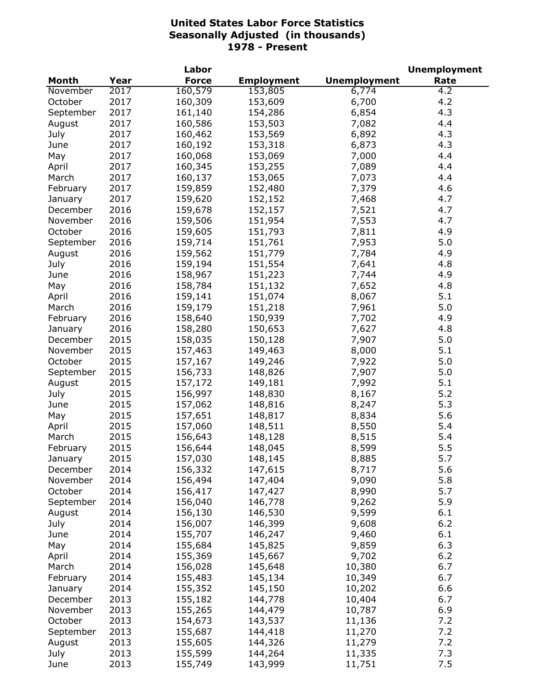| <b>Unemployment</b><br><b>Month</b><br>Year<br><b>Force</b><br>Rate<br><b>Employment</b><br>2017<br>160,579<br>6,774<br>November<br>153,805<br>4.2<br>160,309<br>4.2<br>October<br>2017<br>153,609<br>6,700<br>4.3<br>September<br>2017<br>161,140<br>154,286<br>6,854<br>2017<br>4.4<br>160,586<br>153,503<br>August<br>7,082<br>2017<br>160,462<br>153,569<br>6,892<br>4.3<br>July<br>2017<br>160,192<br>153,318<br>6,873<br>4.3<br>June<br>2017<br>160,068<br>153,069<br>7,000<br>4.4<br>May<br>4.4<br>2017<br>160,345<br>153,255<br>7,089<br>April<br>2017<br>160,137<br>153,065<br>7,073<br>4.4<br>March<br>4.6<br>2017<br>159,859<br>152,480<br>7,379<br>February<br>152,152<br>4.7<br>2017<br>159,620<br>7,468<br>January<br>152,157<br>4.7<br>2016<br>159,678<br>7,521<br>December<br>7,553<br>159,506<br>151,954<br>4.7<br>2016<br>November<br>159,605<br>151,793<br>7,811<br>October<br>2016<br>4.9<br>7,953<br>2016<br>159,714<br>151,761<br>5.0<br>September<br>159,562<br>151,779<br>7,784<br>4.9<br>2016<br>August<br>2016<br>159,194<br>151,554<br>4.8<br>July<br>7,641<br>151,223<br>4.9<br>2016<br>158,967<br>June<br>7,744<br>2016<br>158,784<br>151,132<br>7,652<br>4.8<br>May<br>159,141<br>151,074<br>5.1<br>2016<br>8,067<br>April<br>2016<br>159,179<br>5.0<br>151,218<br>March<br>7,961<br>2016<br>158,640<br>150,939<br>7,702<br>4.9<br>February<br>2016<br>158,280<br>150,653<br>7,627<br>4.8<br>January<br>2015<br>158,035<br>150,128<br>7,907<br>5.0<br>December<br>2015<br>5.1<br>157,463<br>149,463<br>8,000<br>November<br>2015<br>5.0<br>157,167<br>149,246<br>7,922<br>October<br>2015<br>7,907<br>5.0<br>156,733<br>148,826<br>September<br>157,172<br>7,992<br>5.1<br>2015<br>149,181<br>August<br>156,997<br>148,830<br>8,167<br>5.2<br>July<br>2015<br>157,062<br>8,247<br>5.3<br>2015<br>148,816<br>June<br>157,651<br>8,834<br>5.6<br>2015<br>148,817<br>May<br>148,511<br>2015<br>157,060<br>8,550<br>5.4<br>April<br>8,515<br>2015<br>156,643<br>148,128<br>5.4<br>March<br>2015<br>5.5<br>February<br>156,644<br>148,045<br>8,599<br>2015<br>5.7<br>157,030<br>148,145<br>8,885<br>January<br>5.6<br>2014<br>147,615<br>8,717<br>156,332<br>December<br>2014<br>5.8<br>156,494<br>147,404<br>9,090<br>November<br>2014<br>156,417<br>8,990<br>5.7<br>October<br>147,427<br>5.9<br>2014<br>156,040<br>146,778<br>September<br>9,262<br>2014<br>156,130<br>146,530<br>9,599<br>6.1<br>August<br>2014<br>156,007<br>146,399<br>9,608<br>6.2<br>July<br>6.1<br>2014<br>155,707<br>9,460<br>June<br>146,247<br>2014<br>155,684<br>145,825<br>9,859<br>6.3<br>May<br>6.2<br>2014<br>155,369<br>145,667<br>9,702<br>April<br>6.7<br>2014<br>156,028<br>145,648<br>10,380<br>March<br>2014<br>155,483<br>145,134<br>10,349<br>6.7<br>February<br>155,352<br>2014<br>145,150<br>10,202<br>6.6<br>January<br>155,182<br>6.7<br>2013<br>144,778<br>10,404<br>December<br>6.9<br>2013<br>155,265<br>144,479<br>10,787<br>November<br>7.2<br>2013<br>154,673<br>143,537<br>October<br>11,136<br>7.2<br>2013<br>155,687<br>144,418<br>11,270<br>September<br>7.2<br>2013<br>155,605<br>144,326<br>11,279<br>August<br>7.3<br>2013<br>144,264<br>11,335<br>July<br>155,599 |      |      | Labor   |         |        | <b>Unemployment</b> |
|-------------------------------------------------------------------------------------------------------------------------------------------------------------------------------------------------------------------------------------------------------------------------------------------------------------------------------------------------------------------------------------------------------------------------------------------------------------------------------------------------------------------------------------------------------------------------------------------------------------------------------------------------------------------------------------------------------------------------------------------------------------------------------------------------------------------------------------------------------------------------------------------------------------------------------------------------------------------------------------------------------------------------------------------------------------------------------------------------------------------------------------------------------------------------------------------------------------------------------------------------------------------------------------------------------------------------------------------------------------------------------------------------------------------------------------------------------------------------------------------------------------------------------------------------------------------------------------------------------------------------------------------------------------------------------------------------------------------------------------------------------------------------------------------------------------------------------------------------------------------------------------------------------------------------------------------------------------------------------------------------------------------------------------------------------------------------------------------------------------------------------------------------------------------------------------------------------------------------------------------------------------------------------------------------------------------------------------------------------------------------------------------------------------------------------------------------------------------------------------------------------------------------------------------------------------------------------------------------------------------------------------------------------------------------------------------------------------------------------------------------------------------------------------------------------------------------------------------------------------------------------------------------------------------------------------------------------------------------------------------------------------------------------------------------------------------------------------------------------------------------------------------------------------------------------------------------------|------|------|---------|---------|--------|---------------------|
|                                                                                                                                                                                                                                                                                                                                                                                                                                                                                                                                                                                                                                                                                                                                                                                                                                                                                                                                                                                                                                                                                                                                                                                                                                                                                                                                                                                                                                                                                                                                                                                                                                                                                                                                                                                                                                                                                                                                                                                                                                                                                                                                                                                                                                                                                                                                                                                                                                                                                                                                                                                                                                                                                                                                                                                                                                                                                                                                                                                                                                                                                                                                                                                                       |      |      |         |         |        |                     |
|                                                                                                                                                                                                                                                                                                                                                                                                                                                                                                                                                                                                                                                                                                                                                                                                                                                                                                                                                                                                                                                                                                                                                                                                                                                                                                                                                                                                                                                                                                                                                                                                                                                                                                                                                                                                                                                                                                                                                                                                                                                                                                                                                                                                                                                                                                                                                                                                                                                                                                                                                                                                                                                                                                                                                                                                                                                                                                                                                                                                                                                                                                                                                                                                       |      |      |         |         |        |                     |
|                                                                                                                                                                                                                                                                                                                                                                                                                                                                                                                                                                                                                                                                                                                                                                                                                                                                                                                                                                                                                                                                                                                                                                                                                                                                                                                                                                                                                                                                                                                                                                                                                                                                                                                                                                                                                                                                                                                                                                                                                                                                                                                                                                                                                                                                                                                                                                                                                                                                                                                                                                                                                                                                                                                                                                                                                                                                                                                                                                                                                                                                                                                                                                                                       |      |      |         |         |        |                     |
|                                                                                                                                                                                                                                                                                                                                                                                                                                                                                                                                                                                                                                                                                                                                                                                                                                                                                                                                                                                                                                                                                                                                                                                                                                                                                                                                                                                                                                                                                                                                                                                                                                                                                                                                                                                                                                                                                                                                                                                                                                                                                                                                                                                                                                                                                                                                                                                                                                                                                                                                                                                                                                                                                                                                                                                                                                                                                                                                                                                                                                                                                                                                                                                                       |      |      |         |         |        |                     |
|                                                                                                                                                                                                                                                                                                                                                                                                                                                                                                                                                                                                                                                                                                                                                                                                                                                                                                                                                                                                                                                                                                                                                                                                                                                                                                                                                                                                                                                                                                                                                                                                                                                                                                                                                                                                                                                                                                                                                                                                                                                                                                                                                                                                                                                                                                                                                                                                                                                                                                                                                                                                                                                                                                                                                                                                                                                                                                                                                                                                                                                                                                                                                                                                       |      |      |         |         |        |                     |
|                                                                                                                                                                                                                                                                                                                                                                                                                                                                                                                                                                                                                                                                                                                                                                                                                                                                                                                                                                                                                                                                                                                                                                                                                                                                                                                                                                                                                                                                                                                                                                                                                                                                                                                                                                                                                                                                                                                                                                                                                                                                                                                                                                                                                                                                                                                                                                                                                                                                                                                                                                                                                                                                                                                                                                                                                                                                                                                                                                                                                                                                                                                                                                                                       |      |      |         |         |        |                     |
|                                                                                                                                                                                                                                                                                                                                                                                                                                                                                                                                                                                                                                                                                                                                                                                                                                                                                                                                                                                                                                                                                                                                                                                                                                                                                                                                                                                                                                                                                                                                                                                                                                                                                                                                                                                                                                                                                                                                                                                                                                                                                                                                                                                                                                                                                                                                                                                                                                                                                                                                                                                                                                                                                                                                                                                                                                                                                                                                                                                                                                                                                                                                                                                                       |      |      |         |         |        |                     |
|                                                                                                                                                                                                                                                                                                                                                                                                                                                                                                                                                                                                                                                                                                                                                                                                                                                                                                                                                                                                                                                                                                                                                                                                                                                                                                                                                                                                                                                                                                                                                                                                                                                                                                                                                                                                                                                                                                                                                                                                                                                                                                                                                                                                                                                                                                                                                                                                                                                                                                                                                                                                                                                                                                                                                                                                                                                                                                                                                                                                                                                                                                                                                                                                       |      |      |         |         |        |                     |
|                                                                                                                                                                                                                                                                                                                                                                                                                                                                                                                                                                                                                                                                                                                                                                                                                                                                                                                                                                                                                                                                                                                                                                                                                                                                                                                                                                                                                                                                                                                                                                                                                                                                                                                                                                                                                                                                                                                                                                                                                                                                                                                                                                                                                                                                                                                                                                                                                                                                                                                                                                                                                                                                                                                                                                                                                                                                                                                                                                                                                                                                                                                                                                                                       |      |      |         |         |        |                     |
|                                                                                                                                                                                                                                                                                                                                                                                                                                                                                                                                                                                                                                                                                                                                                                                                                                                                                                                                                                                                                                                                                                                                                                                                                                                                                                                                                                                                                                                                                                                                                                                                                                                                                                                                                                                                                                                                                                                                                                                                                                                                                                                                                                                                                                                                                                                                                                                                                                                                                                                                                                                                                                                                                                                                                                                                                                                                                                                                                                                                                                                                                                                                                                                                       |      |      |         |         |        |                     |
|                                                                                                                                                                                                                                                                                                                                                                                                                                                                                                                                                                                                                                                                                                                                                                                                                                                                                                                                                                                                                                                                                                                                                                                                                                                                                                                                                                                                                                                                                                                                                                                                                                                                                                                                                                                                                                                                                                                                                                                                                                                                                                                                                                                                                                                                                                                                                                                                                                                                                                                                                                                                                                                                                                                                                                                                                                                                                                                                                                                                                                                                                                                                                                                                       |      |      |         |         |        |                     |
|                                                                                                                                                                                                                                                                                                                                                                                                                                                                                                                                                                                                                                                                                                                                                                                                                                                                                                                                                                                                                                                                                                                                                                                                                                                                                                                                                                                                                                                                                                                                                                                                                                                                                                                                                                                                                                                                                                                                                                                                                                                                                                                                                                                                                                                                                                                                                                                                                                                                                                                                                                                                                                                                                                                                                                                                                                                                                                                                                                                                                                                                                                                                                                                                       |      |      |         |         |        |                     |
|                                                                                                                                                                                                                                                                                                                                                                                                                                                                                                                                                                                                                                                                                                                                                                                                                                                                                                                                                                                                                                                                                                                                                                                                                                                                                                                                                                                                                                                                                                                                                                                                                                                                                                                                                                                                                                                                                                                                                                                                                                                                                                                                                                                                                                                                                                                                                                                                                                                                                                                                                                                                                                                                                                                                                                                                                                                                                                                                                                                                                                                                                                                                                                                                       |      |      |         |         |        |                     |
|                                                                                                                                                                                                                                                                                                                                                                                                                                                                                                                                                                                                                                                                                                                                                                                                                                                                                                                                                                                                                                                                                                                                                                                                                                                                                                                                                                                                                                                                                                                                                                                                                                                                                                                                                                                                                                                                                                                                                                                                                                                                                                                                                                                                                                                                                                                                                                                                                                                                                                                                                                                                                                                                                                                                                                                                                                                                                                                                                                                                                                                                                                                                                                                                       |      |      |         |         |        |                     |
|                                                                                                                                                                                                                                                                                                                                                                                                                                                                                                                                                                                                                                                                                                                                                                                                                                                                                                                                                                                                                                                                                                                                                                                                                                                                                                                                                                                                                                                                                                                                                                                                                                                                                                                                                                                                                                                                                                                                                                                                                                                                                                                                                                                                                                                                                                                                                                                                                                                                                                                                                                                                                                                                                                                                                                                                                                                                                                                                                                                                                                                                                                                                                                                                       |      |      |         |         |        |                     |
|                                                                                                                                                                                                                                                                                                                                                                                                                                                                                                                                                                                                                                                                                                                                                                                                                                                                                                                                                                                                                                                                                                                                                                                                                                                                                                                                                                                                                                                                                                                                                                                                                                                                                                                                                                                                                                                                                                                                                                                                                                                                                                                                                                                                                                                                                                                                                                                                                                                                                                                                                                                                                                                                                                                                                                                                                                                                                                                                                                                                                                                                                                                                                                                                       |      |      |         |         |        |                     |
|                                                                                                                                                                                                                                                                                                                                                                                                                                                                                                                                                                                                                                                                                                                                                                                                                                                                                                                                                                                                                                                                                                                                                                                                                                                                                                                                                                                                                                                                                                                                                                                                                                                                                                                                                                                                                                                                                                                                                                                                                                                                                                                                                                                                                                                                                                                                                                                                                                                                                                                                                                                                                                                                                                                                                                                                                                                                                                                                                                                                                                                                                                                                                                                                       |      |      |         |         |        |                     |
|                                                                                                                                                                                                                                                                                                                                                                                                                                                                                                                                                                                                                                                                                                                                                                                                                                                                                                                                                                                                                                                                                                                                                                                                                                                                                                                                                                                                                                                                                                                                                                                                                                                                                                                                                                                                                                                                                                                                                                                                                                                                                                                                                                                                                                                                                                                                                                                                                                                                                                                                                                                                                                                                                                                                                                                                                                                                                                                                                                                                                                                                                                                                                                                                       |      |      |         |         |        |                     |
|                                                                                                                                                                                                                                                                                                                                                                                                                                                                                                                                                                                                                                                                                                                                                                                                                                                                                                                                                                                                                                                                                                                                                                                                                                                                                                                                                                                                                                                                                                                                                                                                                                                                                                                                                                                                                                                                                                                                                                                                                                                                                                                                                                                                                                                                                                                                                                                                                                                                                                                                                                                                                                                                                                                                                                                                                                                                                                                                                                                                                                                                                                                                                                                                       |      |      |         |         |        |                     |
|                                                                                                                                                                                                                                                                                                                                                                                                                                                                                                                                                                                                                                                                                                                                                                                                                                                                                                                                                                                                                                                                                                                                                                                                                                                                                                                                                                                                                                                                                                                                                                                                                                                                                                                                                                                                                                                                                                                                                                                                                                                                                                                                                                                                                                                                                                                                                                                                                                                                                                                                                                                                                                                                                                                                                                                                                                                                                                                                                                                                                                                                                                                                                                                                       |      |      |         |         |        |                     |
|                                                                                                                                                                                                                                                                                                                                                                                                                                                                                                                                                                                                                                                                                                                                                                                                                                                                                                                                                                                                                                                                                                                                                                                                                                                                                                                                                                                                                                                                                                                                                                                                                                                                                                                                                                                                                                                                                                                                                                                                                                                                                                                                                                                                                                                                                                                                                                                                                                                                                                                                                                                                                                                                                                                                                                                                                                                                                                                                                                                                                                                                                                                                                                                                       |      |      |         |         |        |                     |
|                                                                                                                                                                                                                                                                                                                                                                                                                                                                                                                                                                                                                                                                                                                                                                                                                                                                                                                                                                                                                                                                                                                                                                                                                                                                                                                                                                                                                                                                                                                                                                                                                                                                                                                                                                                                                                                                                                                                                                                                                                                                                                                                                                                                                                                                                                                                                                                                                                                                                                                                                                                                                                                                                                                                                                                                                                                                                                                                                                                                                                                                                                                                                                                                       |      |      |         |         |        |                     |
|                                                                                                                                                                                                                                                                                                                                                                                                                                                                                                                                                                                                                                                                                                                                                                                                                                                                                                                                                                                                                                                                                                                                                                                                                                                                                                                                                                                                                                                                                                                                                                                                                                                                                                                                                                                                                                                                                                                                                                                                                                                                                                                                                                                                                                                                                                                                                                                                                                                                                                                                                                                                                                                                                                                                                                                                                                                                                                                                                                                                                                                                                                                                                                                                       |      |      |         |         |        |                     |
|                                                                                                                                                                                                                                                                                                                                                                                                                                                                                                                                                                                                                                                                                                                                                                                                                                                                                                                                                                                                                                                                                                                                                                                                                                                                                                                                                                                                                                                                                                                                                                                                                                                                                                                                                                                                                                                                                                                                                                                                                                                                                                                                                                                                                                                                                                                                                                                                                                                                                                                                                                                                                                                                                                                                                                                                                                                                                                                                                                                                                                                                                                                                                                                                       |      |      |         |         |        |                     |
|                                                                                                                                                                                                                                                                                                                                                                                                                                                                                                                                                                                                                                                                                                                                                                                                                                                                                                                                                                                                                                                                                                                                                                                                                                                                                                                                                                                                                                                                                                                                                                                                                                                                                                                                                                                                                                                                                                                                                                                                                                                                                                                                                                                                                                                                                                                                                                                                                                                                                                                                                                                                                                                                                                                                                                                                                                                                                                                                                                                                                                                                                                                                                                                                       |      |      |         |         |        |                     |
|                                                                                                                                                                                                                                                                                                                                                                                                                                                                                                                                                                                                                                                                                                                                                                                                                                                                                                                                                                                                                                                                                                                                                                                                                                                                                                                                                                                                                                                                                                                                                                                                                                                                                                                                                                                                                                                                                                                                                                                                                                                                                                                                                                                                                                                                                                                                                                                                                                                                                                                                                                                                                                                                                                                                                                                                                                                                                                                                                                                                                                                                                                                                                                                                       |      |      |         |         |        |                     |
|                                                                                                                                                                                                                                                                                                                                                                                                                                                                                                                                                                                                                                                                                                                                                                                                                                                                                                                                                                                                                                                                                                                                                                                                                                                                                                                                                                                                                                                                                                                                                                                                                                                                                                                                                                                                                                                                                                                                                                                                                                                                                                                                                                                                                                                                                                                                                                                                                                                                                                                                                                                                                                                                                                                                                                                                                                                                                                                                                                                                                                                                                                                                                                                                       |      |      |         |         |        |                     |
|                                                                                                                                                                                                                                                                                                                                                                                                                                                                                                                                                                                                                                                                                                                                                                                                                                                                                                                                                                                                                                                                                                                                                                                                                                                                                                                                                                                                                                                                                                                                                                                                                                                                                                                                                                                                                                                                                                                                                                                                                                                                                                                                                                                                                                                                                                                                                                                                                                                                                                                                                                                                                                                                                                                                                                                                                                                                                                                                                                                                                                                                                                                                                                                                       |      |      |         |         |        |                     |
|                                                                                                                                                                                                                                                                                                                                                                                                                                                                                                                                                                                                                                                                                                                                                                                                                                                                                                                                                                                                                                                                                                                                                                                                                                                                                                                                                                                                                                                                                                                                                                                                                                                                                                                                                                                                                                                                                                                                                                                                                                                                                                                                                                                                                                                                                                                                                                                                                                                                                                                                                                                                                                                                                                                                                                                                                                                                                                                                                                                                                                                                                                                                                                                                       |      |      |         |         |        |                     |
|                                                                                                                                                                                                                                                                                                                                                                                                                                                                                                                                                                                                                                                                                                                                                                                                                                                                                                                                                                                                                                                                                                                                                                                                                                                                                                                                                                                                                                                                                                                                                                                                                                                                                                                                                                                                                                                                                                                                                                                                                                                                                                                                                                                                                                                                                                                                                                                                                                                                                                                                                                                                                                                                                                                                                                                                                                                                                                                                                                                                                                                                                                                                                                                                       |      |      |         |         |        |                     |
|                                                                                                                                                                                                                                                                                                                                                                                                                                                                                                                                                                                                                                                                                                                                                                                                                                                                                                                                                                                                                                                                                                                                                                                                                                                                                                                                                                                                                                                                                                                                                                                                                                                                                                                                                                                                                                                                                                                                                                                                                                                                                                                                                                                                                                                                                                                                                                                                                                                                                                                                                                                                                                                                                                                                                                                                                                                                                                                                                                                                                                                                                                                                                                                                       |      |      |         |         |        |                     |
|                                                                                                                                                                                                                                                                                                                                                                                                                                                                                                                                                                                                                                                                                                                                                                                                                                                                                                                                                                                                                                                                                                                                                                                                                                                                                                                                                                                                                                                                                                                                                                                                                                                                                                                                                                                                                                                                                                                                                                                                                                                                                                                                                                                                                                                                                                                                                                                                                                                                                                                                                                                                                                                                                                                                                                                                                                                                                                                                                                                                                                                                                                                                                                                                       |      |      |         |         |        |                     |
|                                                                                                                                                                                                                                                                                                                                                                                                                                                                                                                                                                                                                                                                                                                                                                                                                                                                                                                                                                                                                                                                                                                                                                                                                                                                                                                                                                                                                                                                                                                                                                                                                                                                                                                                                                                                                                                                                                                                                                                                                                                                                                                                                                                                                                                                                                                                                                                                                                                                                                                                                                                                                                                                                                                                                                                                                                                                                                                                                                                                                                                                                                                                                                                                       |      |      |         |         |        |                     |
|                                                                                                                                                                                                                                                                                                                                                                                                                                                                                                                                                                                                                                                                                                                                                                                                                                                                                                                                                                                                                                                                                                                                                                                                                                                                                                                                                                                                                                                                                                                                                                                                                                                                                                                                                                                                                                                                                                                                                                                                                                                                                                                                                                                                                                                                                                                                                                                                                                                                                                                                                                                                                                                                                                                                                                                                                                                                                                                                                                                                                                                                                                                                                                                                       |      |      |         |         |        |                     |
|                                                                                                                                                                                                                                                                                                                                                                                                                                                                                                                                                                                                                                                                                                                                                                                                                                                                                                                                                                                                                                                                                                                                                                                                                                                                                                                                                                                                                                                                                                                                                                                                                                                                                                                                                                                                                                                                                                                                                                                                                                                                                                                                                                                                                                                                                                                                                                                                                                                                                                                                                                                                                                                                                                                                                                                                                                                                                                                                                                                                                                                                                                                                                                                                       |      |      |         |         |        |                     |
|                                                                                                                                                                                                                                                                                                                                                                                                                                                                                                                                                                                                                                                                                                                                                                                                                                                                                                                                                                                                                                                                                                                                                                                                                                                                                                                                                                                                                                                                                                                                                                                                                                                                                                                                                                                                                                                                                                                                                                                                                                                                                                                                                                                                                                                                                                                                                                                                                                                                                                                                                                                                                                                                                                                                                                                                                                                                                                                                                                                                                                                                                                                                                                                                       |      |      |         |         |        |                     |
|                                                                                                                                                                                                                                                                                                                                                                                                                                                                                                                                                                                                                                                                                                                                                                                                                                                                                                                                                                                                                                                                                                                                                                                                                                                                                                                                                                                                                                                                                                                                                                                                                                                                                                                                                                                                                                                                                                                                                                                                                                                                                                                                                                                                                                                                                                                                                                                                                                                                                                                                                                                                                                                                                                                                                                                                                                                                                                                                                                                                                                                                                                                                                                                                       |      |      |         |         |        |                     |
|                                                                                                                                                                                                                                                                                                                                                                                                                                                                                                                                                                                                                                                                                                                                                                                                                                                                                                                                                                                                                                                                                                                                                                                                                                                                                                                                                                                                                                                                                                                                                                                                                                                                                                                                                                                                                                                                                                                                                                                                                                                                                                                                                                                                                                                                                                                                                                                                                                                                                                                                                                                                                                                                                                                                                                                                                                                                                                                                                                                                                                                                                                                                                                                                       |      |      |         |         |        |                     |
|                                                                                                                                                                                                                                                                                                                                                                                                                                                                                                                                                                                                                                                                                                                                                                                                                                                                                                                                                                                                                                                                                                                                                                                                                                                                                                                                                                                                                                                                                                                                                                                                                                                                                                                                                                                                                                                                                                                                                                                                                                                                                                                                                                                                                                                                                                                                                                                                                                                                                                                                                                                                                                                                                                                                                                                                                                                                                                                                                                                                                                                                                                                                                                                                       |      |      |         |         |        |                     |
|                                                                                                                                                                                                                                                                                                                                                                                                                                                                                                                                                                                                                                                                                                                                                                                                                                                                                                                                                                                                                                                                                                                                                                                                                                                                                                                                                                                                                                                                                                                                                                                                                                                                                                                                                                                                                                                                                                                                                                                                                                                                                                                                                                                                                                                                                                                                                                                                                                                                                                                                                                                                                                                                                                                                                                                                                                                                                                                                                                                                                                                                                                                                                                                                       |      |      |         |         |        |                     |
|                                                                                                                                                                                                                                                                                                                                                                                                                                                                                                                                                                                                                                                                                                                                                                                                                                                                                                                                                                                                                                                                                                                                                                                                                                                                                                                                                                                                                                                                                                                                                                                                                                                                                                                                                                                                                                                                                                                                                                                                                                                                                                                                                                                                                                                                                                                                                                                                                                                                                                                                                                                                                                                                                                                                                                                                                                                                                                                                                                                                                                                                                                                                                                                                       |      |      |         |         |        |                     |
|                                                                                                                                                                                                                                                                                                                                                                                                                                                                                                                                                                                                                                                                                                                                                                                                                                                                                                                                                                                                                                                                                                                                                                                                                                                                                                                                                                                                                                                                                                                                                                                                                                                                                                                                                                                                                                                                                                                                                                                                                                                                                                                                                                                                                                                                                                                                                                                                                                                                                                                                                                                                                                                                                                                                                                                                                                                                                                                                                                                                                                                                                                                                                                                                       |      |      |         |         |        |                     |
|                                                                                                                                                                                                                                                                                                                                                                                                                                                                                                                                                                                                                                                                                                                                                                                                                                                                                                                                                                                                                                                                                                                                                                                                                                                                                                                                                                                                                                                                                                                                                                                                                                                                                                                                                                                                                                                                                                                                                                                                                                                                                                                                                                                                                                                                                                                                                                                                                                                                                                                                                                                                                                                                                                                                                                                                                                                                                                                                                                                                                                                                                                                                                                                                       |      |      |         |         |        |                     |
|                                                                                                                                                                                                                                                                                                                                                                                                                                                                                                                                                                                                                                                                                                                                                                                                                                                                                                                                                                                                                                                                                                                                                                                                                                                                                                                                                                                                                                                                                                                                                                                                                                                                                                                                                                                                                                                                                                                                                                                                                                                                                                                                                                                                                                                                                                                                                                                                                                                                                                                                                                                                                                                                                                                                                                                                                                                                                                                                                                                                                                                                                                                                                                                                       |      |      |         |         |        |                     |
|                                                                                                                                                                                                                                                                                                                                                                                                                                                                                                                                                                                                                                                                                                                                                                                                                                                                                                                                                                                                                                                                                                                                                                                                                                                                                                                                                                                                                                                                                                                                                                                                                                                                                                                                                                                                                                                                                                                                                                                                                                                                                                                                                                                                                                                                                                                                                                                                                                                                                                                                                                                                                                                                                                                                                                                                                                                                                                                                                                                                                                                                                                                                                                                                       |      |      |         |         |        |                     |
|                                                                                                                                                                                                                                                                                                                                                                                                                                                                                                                                                                                                                                                                                                                                                                                                                                                                                                                                                                                                                                                                                                                                                                                                                                                                                                                                                                                                                                                                                                                                                                                                                                                                                                                                                                                                                                                                                                                                                                                                                                                                                                                                                                                                                                                                                                                                                                                                                                                                                                                                                                                                                                                                                                                                                                                                                                                                                                                                                                                                                                                                                                                                                                                                       |      |      |         |         |        |                     |
|                                                                                                                                                                                                                                                                                                                                                                                                                                                                                                                                                                                                                                                                                                                                                                                                                                                                                                                                                                                                                                                                                                                                                                                                                                                                                                                                                                                                                                                                                                                                                                                                                                                                                                                                                                                                                                                                                                                                                                                                                                                                                                                                                                                                                                                                                                                                                                                                                                                                                                                                                                                                                                                                                                                                                                                                                                                                                                                                                                                                                                                                                                                                                                                                       |      |      |         |         |        |                     |
|                                                                                                                                                                                                                                                                                                                                                                                                                                                                                                                                                                                                                                                                                                                                                                                                                                                                                                                                                                                                                                                                                                                                                                                                                                                                                                                                                                                                                                                                                                                                                                                                                                                                                                                                                                                                                                                                                                                                                                                                                                                                                                                                                                                                                                                                                                                                                                                                                                                                                                                                                                                                                                                                                                                                                                                                                                                                                                                                                                                                                                                                                                                                                                                                       |      |      |         |         |        |                     |
|                                                                                                                                                                                                                                                                                                                                                                                                                                                                                                                                                                                                                                                                                                                                                                                                                                                                                                                                                                                                                                                                                                                                                                                                                                                                                                                                                                                                                                                                                                                                                                                                                                                                                                                                                                                                                                                                                                                                                                                                                                                                                                                                                                                                                                                                                                                                                                                                                                                                                                                                                                                                                                                                                                                                                                                                                                                                                                                                                                                                                                                                                                                                                                                                       |      |      |         |         |        |                     |
|                                                                                                                                                                                                                                                                                                                                                                                                                                                                                                                                                                                                                                                                                                                                                                                                                                                                                                                                                                                                                                                                                                                                                                                                                                                                                                                                                                                                                                                                                                                                                                                                                                                                                                                                                                                                                                                                                                                                                                                                                                                                                                                                                                                                                                                                                                                                                                                                                                                                                                                                                                                                                                                                                                                                                                                                                                                                                                                                                                                                                                                                                                                                                                                                       |      |      |         |         |        |                     |
|                                                                                                                                                                                                                                                                                                                                                                                                                                                                                                                                                                                                                                                                                                                                                                                                                                                                                                                                                                                                                                                                                                                                                                                                                                                                                                                                                                                                                                                                                                                                                                                                                                                                                                                                                                                                                                                                                                                                                                                                                                                                                                                                                                                                                                                                                                                                                                                                                                                                                                                                                                                                                                                                                                                                                                                                                                                                                                                                                                                                                                                                                                                                                                                                       |      |      |         |         |        |                     |
|                                                                                                                                                                                                                                                                                                                                                                                                                                                                                                                                                                                                                                                                                                                                                                                                                                                                                                                                                                                                                                                                                                                                                                                                                                                                                                                                                                                                                                                                                                                                                                                                                                                                                                                                                                                                                                                                                                                                                                                                                                                                                                                                                                                                                                                                                                                                                                                                                                                                                                                                                                                                                                                                                                                                                                                                                                                                                                                                                                                                                                                                                                                                                                                                       |      |      |         |         |        |                     |
|                                                                                                                                                                                                                                                                                                                                                                                                                                                                                                                                                                                                                                                                                                                                                                                                                                                                                                                                                                                                                                                                                                                                                                                                                                                                                                                                                                                                                                                                                                                                                                                                                                                                                                                                                                                                                                                                                                                                                                                                                                                                                                                                                                                                                                                                                                                                                                                                                                                                                                                                                                                                                                                                                                                                                                                                                                                                                                                                                                                                                                                                                                                                                                                                       |      |      |         |         |        |                     |
|                                                                                                                                                                                                                                                                                                                                                                                                                                                                                                                                                                                                                                                                                                                                                                                                                                                                                                                                                                                                                                                                                                                                                                                                                                                                                                                                                                                                                                                                                                                                                                                                                                                                                                                                                                                                                                                                                                                                                                                                                                                                                                                                                                                                                                                                                                                                                                                                                                                                                                                                                                                                                                                                                                                                                                                                                                                                                                                                                                                                                                                                                                                                                                                                       |      |      |         |         |        |                     |
|                                                                                                                                                                                                                                                                                                                                                                                                                                                                                                                                                                                                                                                                                                                                                                                                                                                                                                                                                                                                                                                                                                                                                                                                                                                                                                                                                                                                                                                                                                                                                                                                                                                                                                                                                                                                                                                                                                                                                                                                                                                                                                                                                                                                                                                                                                                                                                                                                                                                                                                                                                                                                                                                                                                                                                                                                                                                                                                                                                                                                                                                                                                                                                                                       | June | 2013 | 155,749 | 143,999 | 11,751 | 7.5                 |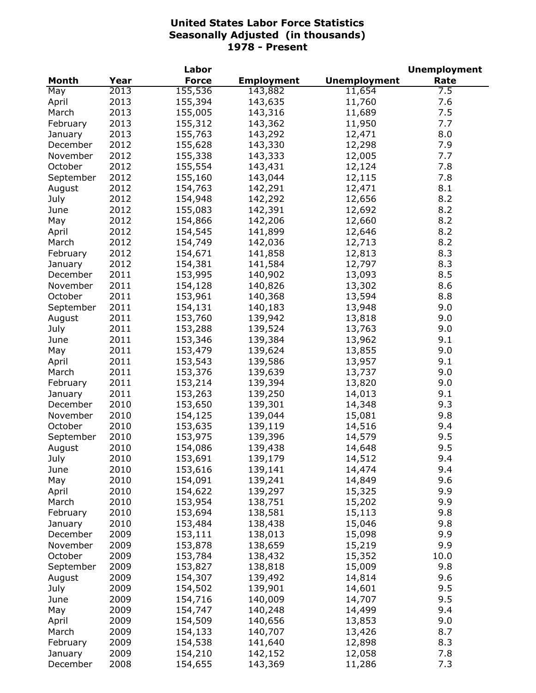| Month<br><b>Force</b><br><b>Employment</b><br><b>Unemployment</b><br>Rate<br>Year<br>155,536<br>2013<br>143,882<br>11,654<br>7.5<br>2013<br>155,394<br>143,635<br>11,760<br>7.6<br>April<br>7.5<br>2013<br>155,005<br>143,316<br>March<br>11,689<br>7.7<br>2013<br>155,312<br>143,362<br>11,950<br>February<br>2013<br>155,763<br>143,292<br>8.0<br>12,471<br>January<br>2012<br>155,628<br>143,330<br>12,298<br>7.9<br>December<br>2012<br>155,338<br>143,333<br>12,005<br>7.7<br>November<br>2012<br>155,554<br>143,431<br>12,124<br>7.8<br>October<br>2012<br>155,160<br>143,044<br>12,115<br>7.8<br>September<br>2012<br>142,291<br>12,471<br>8.1<br>154,763<br>August<br>142,292<br>12,656<br>8.2<br>July<br>2012<br>154,948<br>155,083<br>142,391<br>12,692<br>8.2<br>2012<br>June<br>142,206<br>8.2<br>2012<br>154,866<br>12,660<br>May<br>154,545<br>141,899<br>8.2<br>2012<br>12,646<br>April<br>8.2<br>2012<br>154,749<br>142,036<br>12,713<br>March<br>8.3<br>2012<br>154,671<br>141,858<br>12,813<br>February<br>2012<br>8.3<br>154,381<br>141,584<br>12,797<br>January<br>2011<br>153,995<br>140,902<br>8.5<br>13,093<br>December<br>2011<br>8.6<br>154,128<br>140,826<br>13,302<br>November<br>2011<br>October<br>153,961<br>140,368<br>13,594<br>8.8<br>2011<br>154,131<br>140,183<br>13,948<br>9.0<br>September<br>2011<br>153,760<br>139,942<br>13,818<br>9.0<br>August<br>2011<br>153,288<br>139,524<br>13,763<br>9.0<br>July<br>2011<br>153,346<br>139,384<br>13,962<br>9.1<br>June<br>9.0<br>2011<br>153,479<br>139,624<br>13,855<br>May<br>153,543<br>2011<br>139,586<br>13,957<br>9.1<br>April<br>2011<br>153,376<br>9.0<br>139,639<br>13,737<br>March<br>2011<br>153,214<br>139,394<br>13,820<br>9.0<br>February<br>2011<br>153,263<br>139,250<br>14,013<br>9.1<br>January<br>139,301<br>2010<br>153,650<br>14,348<br>9.3<br>December<br>139,044<br>9.8<br>2010<br>154,125<br>15,081<br>November<br>October<br>2010<br>153,635<br>139,119<br>14,516<br>9.4<br>2010<br>153,975<br>139,396<br>9.5<br>September<br>14,579<br>9.5<br>2010<br>154,086<br>139,438<br>14,648<br>August<br>2010<br>9.4<br>153,691<br>July<br>139,179<br>14,512<br>2010<br>153,616<br>139,141<br>14,474<br>9.4<br>June<br>9.6<br>2010<br>154,091<br>139,241<br>14,849<br>May<br>9.9<br>2010<br>154,622<br>139,297<br>15,325<br>April<br>9.9<br>2010<br>153,954<br>138,751<br>15,202<br>March<br>2010<br>153,694<br>138,581<br>15,113<br>9.8<br>February<br>2010<br>153,484<br>138,438<br>15,046<br>9.8<br>January<br>9.9<br>2009<br>153,111<br>138,013<br>15,098<br>December<br>9.9<br>2009<br>153,878<br>138,659<br>15,219<br>November<br>2009<br>15,352<br>10.0<br>153,784<br>138,432<br>October<br>153,827<br>15,009<br>2009<br>138,818<br>9.8<br>September<br>154,307<br>139,492<br>2009<br>14,814<br>9.6<br>August<br>154,502<br>139,901<br>9.5<br>July<br>2009<br>14,601<br>154,716<br>140,009<br>9.5<br>2009<br>14,707<br>June<br>2009<br>154,747<br>140,248<br>14,499<br>9.4<br>May<br>9.0<br>2009<br>154,509<br>140,656<br>April<br>13,853<br>8.7<br>2009<br>154,133<br>140,707<br>13,426<br>March |     | Labor |  | <b>Unemployment</b> |
|-----------------------------------------------------------------------------------------------------------------------------------------------------------------------------------------------------------------------------------------------------------------------------------------------------------------------------------------------------------------------------------------------------------------------------------------------------------------------------------------------------------------------------------------------------------------------------------------------------------------------------------------------------------------------------------------------------------------------------------------------------------------------------------------------------------------------------------------------------------------------------------------------------------------------------------------------------------------------------------------------------------------------------------------------------------------------------------------------------------------------------------------------------------------------------------------------------------------------------------------------------------------------------------------------------------------------------------------------------------------------------------------------------------------------------------------------------------------------------------------------------------------------------------------------------------------------------------------------------------------------------------------------------------------------------------------------------------------------------------------------------------------------------------------------------------------------------------------------------------------------------------------------------------------------------------------------------------------------------------------------------------------------------------------------------------------------------------------------------------------------------------------------------------------------------------------------------------------------------------------------------------------------------------------------------------------------------------------------------------------------------------------------------------------------------------------------------------------------------------------------------------------------------------------------------------------------------------------------------------------------------------------------------------------------------------------------------------------------------------------------------------------------------------------------------------------------------------------------------------------------------------------------------------------------------------------------------------------------------------------------------------------------------------------------------------------------------------------------------------|-----|-------|--|---------------------|
|                                                                                                                                                                                                                                                                                                                                                                                                                                                                                                                                                                                                                                                                                                                                                                                                                                                                                                                                                                                                                                                                                                                                                                                                                                                                                                                                                                                                                                                                                                                                                                                                                                                                                                                                                                                                                                                                                                                                                                                                                                                                                                                                                                                                                                                                                                                                                                                                                                                                                                                                                                                                                                                                                                                                                                                                                                                                                                                                                                                                                                                                                                           |     |       |  |                     |
|                                                                                                                                                                                                                                                                                                                                                                                                                                                                                                                                                                                                                                                                                                                                                                                                                                                                                                                                                                                                                                                                                                                                                                                                                                                                                                                                                                                                                                                                                                                                                                                                                                                                                                                                                                                                                                                                                                                                                                                                                                                                                                                                                                                                                                                                                                                                                                                                                                                                                                                                                                                                                                                                                                                                                                                                                                                                                                                                                                                                                                                                                                           | May |       |  |                     |
|                                                                                                                                                                                                                                                                                                                                                                                                                                                                                                                                                                                                                                                                                                                                                                                                                                                                                                                                                                                                                                                                                                                                                                                                                                                                                                                                                                                                                                                                                                                                                                                                                                                                                                                                                                                                                                                                                                                                                                                                                                                                                                                                                                                                                                                                                                                                                                                                                                                                                                                                                                                                                                                                                                                                                                                                                                                                                                                                                                                                                                                                                                           |     |       |  |                     |
|                                                                                                                                                                                                                                                                                                                                                                                                                                                                                                                                                                                                                                                                                                                                                                                                                                                                                                                                                                                                                                                                                                                                                                                                                                                                                                                                                                                                                                                                                                                                                                                                                                                                                                                                                                                                                                                                                                                                                                                                                                                                                                                                                                                                                                                                                                                                                                                                                                                                                                                                                                                                                                                                                                                                                                                                                                                                                                                                                                                                                                                                                                           |     |       |  |                     |
|                                                                                                                                                                                                                                                                                                                                                                                                                                                                                                                                                                                                                                                                                                                                                                                                                                                                                                                                                                                                                                                                                                                                                                                                                                                                                                                                                                                                                                                                                                                                                                                                                                                                                                                                                                                                                                                                                                                                                                                                                                                                                                                                                                                                                                                                                                                                                                                                                                                                                                                                                                                                                                                                                                                                                                                                                                                                                                                                                                                                                                                                                                           |     |       |  |                     |
|                                                                                                                                                                                                                                                                                                                                                                                                                                                                                                                                                                                                                                                                                                                                                                                                                                                                                                                                                                                                                                                                                                                                                                                                                                                                                                                                                                                                                                                                                                                                                                                                                                                                                                                                                                                                                                                                                                                                                                                                                                                                                                                                                                                                                                                                                                                                                                                                                                                                                                                                                                                                                                                                                                                                                                                                                                                                                                                                                                                                                                                                                                           |     |       |  |                     |
|                                                                                                                                                                                                                                                                                                                                                                                                                                                                                                                                                                                                                                                                                                                                                                                                                                                                                                                                                                                                                                                                                                                                                                                                                                                                                                                                                                                                                                                                                                                                                                                                                                                                                                                                                                                                                                                                                                                                                                                                                                                                                                                                                                                                                                                                                                                                                                                                                                                                                                                                                                                                                                                                                                                                                                                                                                                                                                                                                                                                                                                                                                           |     |       |  |                     |
|                                                                                                                                                                                                                                                                                                                                                                                                                                                                                                                                                                                                                                                                                                                                                                                                                                                                                                                                                                                                                                                                                                                                                                                                                                                                                                                                                                                                                                                                                                                                                                                                                                                                                                                                                                                                                                                                                                                                                                                                                                                                                                                                                                                                                                                                                                                                                                                                                                                                                                                                                                                                                                                                                                                                                                                                                                                                                                                                                                                                                                                                                                           |     |       |  |                     |
|                                                                                                                                                                                                                                                                                                                                                                                                                                                                                                                                                                                                                                                                                                                                                                                                                                                                                                                                                                                                                                                                                                                                                                                                                                                                                                                                                                                                                                                                                                                                                                                                                                                                                                                                                                                                                                                                                                                                                                                                                                                                                                                                                                                                                                                                                                                                                                                                                                                                                                                                                                                                                                                                                                                                                                                                                                                                                                                                                                                                                                                                                                           |     |       |  |                     |
|                                                                                                                                                                                                                                                                                                                                                                                                                                                                                                                                                                                                                                                                                                                                                                                                                                                                                                                                                                                                                                                                                                                                                                                                                                                                                                                                                                                                                                                                                                                                                                                                                                                                                                                                                                                                                                                                                                                                                                                                                                                                                                                                                                                                                                                                                                                                                                                                                                                                                                                                                                                                                                                                                                                                                                                                                                                                                                                                                                                                                                                                                                           |     |       |  |                     |
|                                                                                                                                                                                                                                                                                                                                                                                                                                                                                                                                                                                                                                                                                                                                                                                                                                                                                                                                                                                                                                                                                                                                                                                                                                                                                                                                                                                                                                                                                                                                                                                                                                                                                                                                                                                                                                                                                                                                                                                                                                                                                                                                                                                                                                                                                                                                                                                                                                                                                                                                                                                                                                                                                                                                                                                                                                                                                                                                                                                                                                                                                                           |     |       |  |                     |
|                                                                                                                                                                                                                                                                                                                                                                                                                                                                                                                                                                                                                                                                                                                                                                                                                                                                                                                                                                                                                                                                                                                                                                                                                                                                                                                                                                                                                                                                                                                                                                                                                                                                                                                                                                                                                                                                                                                                                                                                                                                                                                                                                                                                                                                                                                                                                                                                                                                                                                                                                                                                                                                                                                                                                                                                                                                                                                                                                                                                                                                                                                           |     |       |  |                     |
|                                                                                                                                                                                                                                                                                                                                                                                                                                                                                                                                                                                                                                                                                                                                                                                                                                                                                                                                                                                                                                                                                                                                                                                                                                                                                                                                                                                                                                                                                                                                                                                                                                                                                                                                                                                                                                                                                                                                                                                                                                                                                                                                                                                                                                                                                                                                                                                                                                                                                                                                                                                                                                                                                                                                                                                                                                                                                                                                                                                                                                                                                                           |     |       |  |                     |
|                                                                                                                                                                                                                                                                                                                                                                                                                                                                                                                                                                                                                                                                                                                                                                                                                                                                                                                                                                                                                                                                                                                                                                                                                                                                                                                                                                                                                                                                                                                                                                                                                                                                                                                                                                                                                                                                                                                                                                                                                                                                                                                                                                                                                                                                                                                                                                                                                                                                                                                                                                                                                                                                                                                                                                                                                                                                                                                                                                                                                                                                                                           |     |       |  |                     |
|                                                                                                                                                                                                                                                                                                                                                                                                                                                                                                                                                                                                                                                                                                                                                                                                                                                                                                                                                                                                                                                                                                                                                                                                                                                                                                                                                                                                                                                                                                                                                                                                                                                                                                                                                                                                                                                                                                                                                                                                                                                                                                                                                                                                                                                                                                                                                                                                                                                                                                                                                                                                                                                                                                                                                                                                                                                                                                                                                                                                                                                                                                           |     |       |  |                     |
|                                                                                                                                                                                                                                                                                                                                                                                                                                                                                                                                                                                                                                                                                                                                                                                                                                                                                                                                                                                                                                                                                                                                                                                                                                                                                                                                                                                                                                                                                                                                                                                                                                                                                                                                                                                                                                                                                                                                                                                                                                                                                                                                                                                                                                                                                                                                                                                                                                                                                                                                                                                                                                                                                                                                                                                                                                                                                                                                                                                                                                                                                                           |     |       |  |                     |
|                                                                                                                                                                                                                                                                                                                                                                                                                                                                                                                                                                                                                                                                                                                                                                                                                                                                                                                                                                                                                                                                                                                                                                                                                                                                                                                                                                                                                                                                                                                                                                                                                                                                                                                                                                                                                                                                                                                                                                                                                                                                                                                                                                                                                                                                                                                                                                                                                                                                                                                                                                                                                                                                                                                                                                                                                                                                                                                                                                                                                                                                                                           |     |       |  |                     |
|                                                                                                                                                                                                                                                                                                                                                                                                                                                                                                                                                                                                                                                                                                                                                                                                                                                                                                                                                                                                                                                                                                                                                                                                                                                                                                                                                                                                                                                                                                                                                                                                                                                                                                                                                                                                                                                                                                                                                                                                                                                                                                                                                                                                                                                                                                                                                                                                                                                                                                                                                                                                                                                                                                                                                                                                                                                                                                                                                                                                                                                                                                           |     |       |  |                     |
|                                                                                                                                                                                                                                                                                                                                                                                                                                                                                                                                                                                                                                                                                                                                                                                                                                                                                                                                                                                                                                                                                                                                                                                                                                                                                                                                                                                                                                                                                                                                                                                                                                                                                                                                                                                                                                                                                                                                                                                                                                                                                                                                                                                                                                                                                                                                                                                                                                                                                                                                                                                                                                                                                                                                                                                                                                                                                                                                                                                                                                                                                                           |     |       |  |                     |
|                                                                                                                                                                                                                                                                                                                                                                                                                                                                                                                                                                                                                                                                                                                                                                                                                                                                                                                                                                                                                                                                                                                                                                                                                                                                                                                                                                                                                                                                                                                                                                                                                                                                                                                                                                                                                                                                                                                                                                                                                                                                                                                                                                                                                                                                                                                                                                                                                                                                                                                                                                                                                                                                                                                                                                                                                                                                                                                                                                                                                                                                                                           |     |       |  |                     |
|                                                                                                                                                                                                                                                                                                                                                                                                                                                                                                                                                                                                                                                                                                                                                                                                                                                                                                                                                                                                                                                                                                                                                                                                                                                                                                                                                                                                                                                                                                                                                                                                                                                                                                                                                                                                                                                                                                                                                                                                                                                                                                                                                                                                                                                                                                                                                                                                                                                                                                                                                                                                                                                                                                                                                                                                                                                                                                                                                                                                                                                                                                           |     |       |  |                     |
|                                                                                                                                                                                                                                                                                                                                                                                                                                                                                                                                                                                                                                                                                                                                                                                                                                                                                                                                                                                                                                                                                                                                                                                                                                                                                                                                                                                                                                                                                                                                                                                                                                                                                                                                                                                                                                                                                                                                                                                                                                                                                                                                                                                                                                                                                                                                                                                                                                                                                                                                                                                                                                                                                                                                                                                                                                                                                                                                                                                                                                                                                                           |     |       |  |                     |
|                                                                                                                                                                                                                                                                                                                                                                                                                                                                                                                                                                                                                                                                                                                                                                                                                                                                                                                                                                                                                                                                                                                                                                                                                                                                                                                                                                                                                                                                                                                                                                                                                                                                                                                                                                                                                                                                                                                                                                                                                                                                                                                                                                                                                                                                                                                                                                                                                                                                                                                                                                                                                                                                                                                                                                                                                                                                                                                                                                                                                                                                                                           |     |       |  |                     |
|                                                                                                                                                                                                                                                                                                                                                                                                                                                                                                                                                                                                                                                                                                                                                                                                                                                                                                                                                                                                                                                                                                                                                                                                                                                                                                                                                                                                                                                                                                                                                                                                                                                                                                                                                                                                                                                                                                                                                                                                                                                                                                                                                                                                                                                                                                                                                                                                                                                                                                                                                                                                                                                                                                                                                                                                                                                                                                                                                                                                                                                                                                           |     |       |  |                     |
|                                                                                                                                                                                                                                                                                                                                                                                                                                                                                                                                                                                                                                                                                                                                                                                                                                                                                                                                                                                                                                                                                                                                                                                                                                                                                                                                                                                                                                                                                                                                                                                                                                                                                                                                                                                                                                                                                                                                                                                                                                                                                                                                                                                                                                                                                                                                                                                                                                                                                                                                                                                                                                                                                                                                                                                                                                                                                                                                                                                                                                                                                                           |     |       |  |                     |
|                                                                                                                                                                                                                                                                                                                                                                                                                                                                                                                                                                                                                                                                                                                                                                                                                                                                                                                                                                                                                                                                                                                                                                                                                                                                                                                                                                                                                                                                                                                                                                                                                                                                                                                                                                                                                                                                                                                                                                                                                                                                                                                                                                                                                                                                                                                                                                                                                                                                                                                                                                                                                                                                                                                                                                                                                                                                                                                                                                                                                                                                                                           |     |       |  |                     |
|                                                                                                                                                                                                                                                                                                                                                                                                                                                                                                                                                                                                                                                                                                                                                                                                                                                                                                                                                                                                                                                                                                                                                                                                                                                                                                                                                                                                                                                                                                                                                                                                                                                                                                                                                                                                                                                                                                                                                                                                                                                                                                                                                                                                                                                                                                                                                                                                                                                                                                                                                                                                                                                                                                                                                                                                                                                                                                                                                                                                                                                                                                           |     |       |  |                     |
|                                                                                                                                                                                                                                                                                                                                                                                                                                                                                                                                                                                                                                                                                                                                                                                                                                                                                                                                                                                                                                                                                                                                                                                                                                                                                                                                                                                                                                                                                                                                                                                                                                                                                                                                                                                                                                                                                                                                                                                                                                                                                                                                                                                                                                                                                                                                                                                                                                                                                                                                                                                                                                                                                                                                                                                                                                                                                                                                                                                                                                                                                                           |     |       |  |                     |
|                                                                                                                                                                                                                                                                                                                                                                                                                                                                                                                                                                                                                                                                                                                                                                                                                                                                                                                                                                                                                                                                                                                                                                                                                                                                                                                                                                                                                                                                                                                                                                                                                                                                                                                                                                                                                                                                                                                                                                                                                                                                                                                                                                                                                                                                                                                                                                                                                                                                                                                                                                                                                                                                                                                                                                                                                                                                                                                                                                                                                                                                                                           |     |       |  |                     |
|                                                                                                                                                                                                                                                                                                                                                                                                                                                                                                                                                                                                                                                                                                                                                                                                                                                                                                                                                                                                                                                                                                                                                                                                                                                                                                                                                                                                                                                                                                                                                                                                                                                                                                                                                                                                                                                                                                                                                                                                                                                                                                                                                                                                                                                                                                                                                                                                                                                                                                                                                                                                                                                                                                                                                                                                                                                                                                                                                                                                                                                                                                           |     |       |  |                     |
|                                                                                                                                                                                                                                                                                                                                                                                                                                                                                                                                                                                                                                                                                                                                                                                                                                                                                                                                                                                                                                                                                                                                                                                                                                                                                                                                                                                                                                                                                                                                                                                                                                                                                                                                                                                                                                                                                                                                                                                                                                                                                                                                                                                                                                                                                                                                                                                                                                                                                                                                                                                                                                                                                                                                                                                                                                                                                                                                                                                                                                                                                                           |     |       |  |                     |
|                                                                                                                                                                                                                                                                                                                                                                                                                                                                                                                                                                                                                                                                                                                                                                                                                                                                                                                                                                                                                                                                                                                                                                                                                                                                                                                                                                                                                                                                                                                                                                                                                                                                                                                                                                                                                                                                                                                                                                                                                                                                                                                                                                                                                                                                                                                                                                                                                                                                                                                                                                                                                                                                                                                                                                                                                                                                                                                                                                                                                                                                                                           |     |       |  |                     |
|                                                                                                                                                                                                                                                                                                                                                                                                                                                                                                                                                                                                                                                                                                                                                                                                                                                                                                                                                                                                                                                                                                                                                                                                                                                                                                                                                                                                                                                                                                                                                                                                                                                                                                                                                                                                                                                                                                                                                                                                                                                                                                                                                                                                                                                                                                                                                                                                                                                                                                                                                                                                                                                                                                                                                                                                                                                                                                                                                                                                                                                                                                           |     |       |  |                     |
|                                                                                                                                                                                                                                                                                                                                                                                                                                                                                                                                                                                                                                                                                                                                                                                                                                                                                                                                                                                                                                                                                                                                                                                                                                                                                                                                                                                                                                                                                                                                                                                                                                                                                                                                                                                                                                                                                                                                                                                                                                                                                                                                                                                                                                                                                                                                                                                                                                                                                                                                                                                                                                                                                                                                                                                                                                                                                                                                                                                                                                                                                                           |     |       |  |                     |
|                                                                                                                                                                                                                                                                                                                                                                                                                                                                                                                                                                                                                                                                                                                                                                                                                                                                                                                                                                                                                                                                                                                                                                                                                                                                                                                                                                                                                                                                                                                                                                                                                                                                                                                                                                                                                                                                                                                                                                                                                                                                                                                                                                                                                                                                                                                                                                                                                                                                                                                                                                                                                                                                                                                                                                                                                                                                                                                                                                                                                                                                                                           |     |       |  |                     |
|                                                                                                                                                                                                                                                                                                                                                                                                                                                                                                                                                                                                                                                                                                                                                                                                                                                                                                                                                                                                                                                                                                                                                                                                                                                                                                                                                                                                                                                                                                                                                                                                                                                                                                                                                                                                                                                                                                                                                                                                                                                                                                                                                                                                                                                                                                                                                                                                                                                                                                                                                                                                                                                                                                                                                                                                                                                                                                                                                                                                                                                                                                           |     |       |  |                     |
|                                                                                                                                                                                                                                                                                                                                                                                                                                                                                                                                                                                                                                                                                                                                                                                                                                                                                                                                                                                                                                                                                                                                                                                                                                                                                                                                                                                                                                                                                                                                                                                                                                                                                                                                                                                                                                                                                                                                                                                                                                                                                                                                                                                                                                                                                                                                                                                                                                                                                                                                                                                                                                                                                                                                                                                                                                                                                                                                                                                                                                                                                                           |     |       |  |                     |
|                                                                                                                                                                                                                                                                                                                                                                                                                                                                                                                                                                                                                                                                                                                                                                                                                                                                                                                                                                                                                                                                                                                                                                                                                                                                                                                                                                                                                                                                                                                                                                                                                                                                                                                                                                                                                                                                                                                                                                                                                                                                                                                                                                                                                                                                                                                                                                                                                                                                                                                                                                                                                                                                                                                                                                                                                                                                                                                                                                                                                                                                                                           |     |       |  |                     |
|                                                                                                                                                                                                                                                                                                                                                                                                                                                                                                                                                                                                                                                                                                                                                                                                                                                                                                                                                                                                                                                                                                                                                                                                                                                                                                                                                                                                                                                                                                                                                                                                                                                                                                                                                                                                                                                                                                                                                                                                                                                                                                                                                                                                                                                                                                                                                                                                                                                                                                                                                                                                                                                                                                                                                                                                                                                                                                                                                                                                                                                                                                           |     |       |  |                     |
|                                                                                                                                                                                                                                                                                                                                                                                                                                                                                                                                                                                                                                                                                                                                                                                                                                                                                                                                                                                                                                                                                                                                                                                                                                                                                                                                                                                                                                                                                                                                                                                                                                                                                                                                                                                                                                                                                                                                                                                                                                                                                                                                                                                                                                                                                                                                                                                                                                                                                                                                                                                                                                                                                                                                                                                                                                                                                                                                                                                                                                                                                                           |     |       |  |                     |
|                                                                                                                                                                                                                                                                                                                                                                                                                                                                                                                                                                                                                                                                                                                                                                                                                                                                                                                                                                                                                                                                                                                                                                                                                                                                                                                                                                                                                                                                                                                                                                                                                                                                                                                                                                                                                                                                                                                                                                                                                                                                                                                                                                                                                                                                                                                                                                                                                                                                                                                                                                                                                                                                                                                                                                                                                                                                                                                                                                                                                                                                                                           |     |       |  |                     |
|                                                                                                                                                                                                                                                                                                                                                                                                                                                                                                                                                                                                                                                                                                                                                                                                                                                                                                                                                                                                                                                                                                                                                                                                                                                                                                                                                                                                                                                                                                                                                                                                                                                                                                                                                                                                                                                                                                                                                                                                                                                                                                                                                                                                                                                                                                                                                                                                                                                                                                                                                                                                                                                                                                                                                                                                                                                                                                                                                                                                                                                                                                           |     |       |  |                     |
|                                                                                                                                                                                                                                                                                                                                                                                                                                                                                                                                                                                                                                                                                                                                                                                                                                                                                                                                                                                                                                                                                                                                                                                                                                                                                                                                                                                                                                                                                                                                                                                                                                                                                                                                                                                                                                                                                                                                                                                                                                                                                                                                                                                                                                                                                                                                                                                                                                                                                                                                                                                                                                                                                                                                                                                                                                                                                                                                                                                                                                                                                                           |     |       |  |                     |
|                                                                                                                                                                                                                                                                                                                                                                                                                                                                                                                                                                                                                                                                                                                                                                                                                                                                                                                                                                                                                                                                                                                                                                                                                                                                                                                                                                                                                                                                                                                                                                                                                                                                                                                                                                                                                                                                                                                                                                                                                                                                                                                                                                                                                                                                                                                                                                                                                                                                                                                                                                                                                                                                                                                                                                                                                                                                                                                                                                                                                                                                                                           |     |       |  |                     |
|                                                                                                                                                                                                                                                                                                                                                                                                                                                                                                                                                                                                                                                                                                                                                                                                                                                                                                                                                                                                                                                                                                                                                                                                                                                                                                                                                                                                                                                                                                                                                                                                                                                                                                                                                                                                                                                                                                                                                                                                                                                                                                                                                                                                                                                                                                                                                                                                                                                                                                                                                                                                                                                                                                                                                                                                                                                                                                                                                                                                                                                                                                           |     |       |  |                     |
|                                                                                                                                                                                                                                                                                                                                                                                                                                                                                                                                                                                                                                                                                                                                                                                                                                                                                                                                                                                                                                                                                                                                                                                                                                                                                                                                                                                                                                                                                                                                                                                                                                                                                                                                                                                                                                                                                                                                                                                                                                                                                                                                                                                                                                                                                                                                                                                                                                                                                                                                                                                                                                                                                                                                                                                                                                                                                                                                                                                                                                                                                                           |     |       |  |                     |
|                                                                                                                                                                                                                                                                                                                                                                                                                                                                                                                                                                                                                                                                                                                                                                                                                                                                                                                                                                                                                                                                                                                                                                                                                                                                                                                                                                                                                                                                                                                                                                                                                                                                                                                                                                                                                                                                                                                                                                                                                                                                                                                                                                                                                                                                                                                                                                                                                                                                                                                                                                                                                                                                                                                                                                                                                                                                                                                                                                                                                                                                                                           |     |       |  |                     |
|                                                                                                                                                                                                                                                                                                                                                                                                                                                                                                                                                                                                                                                                                                                                                                                                                                                                                                                                                                                                                                                                                                                                                                                                                                                                                                                                                                                                                                                                                                                                                                                                                                                                                                                                                                                                                                                                                                                                                                                                                                                                                                                                                                                                                                                                                                                                                                                                                                                                                                                                                                                                                                                                                                                                                                                                                                                                                                                                                                                                                                                                                                           |     |       |  |                     |
|                                                                                                                                                                                                                                                                                                                                                                                                                                                                                                                                                                                                                                                                                                                                                                                                                                                                                                                                                                                                                                                                                                                                                                                                                                                                                                                                                                                                                                                                                                                                                                                                                                                                                                                                                                                                                                                                                                                                                                                                                                                                                                                                                                                                                                                                                                                                                                                                                                                                                                                                                                                                                                                                                                                                                                                                                                                                                                                                                                                                                                                                                                           |     |       |  |                     |
|                                                                                                                                                                                                                                                                                                                                                                                                                                                                                                                                                                                                                                                                                                                                                                                                                                                                                                                                                                                                                                                                                                                                                                                                                                                                                                                                                                                                                                                                                                                                                                                                                                                                                                                                                                                                                                                                                                                                                                                                                                                                                                                                                                                                                                                                                                                                                                                                                                                                                                                                                                                                                                                                                                                                                                                                                                                                                                                                                                                                                                                                                                           |     |       |  |                     |
|                                                                                                                                                                                                                                                                                                                                                                                                                                                                                                                                                                                                                                                                                                                                                                                                                                                                                                                                                                                                                                                                                                                                                                                                                                                                                                                                                                                                                                                                                                                                                                                                                                                                                                                                                                                                                                                                                                                                                                                                                                                                                                                                                                                                                                                                                                                                                                                                                                                                                                                                                                                                                                                                                                                                                                                                                                                                                                                                                                                                                                                                                                           |     |       |  |                     |
|                                                                                                                                                                                                                                                                                                                                                                                                                                                                                                                                                                                                                                                                                                                                                                                                                                                                                                                                                                                                                                                                                                                                                                                                                                                                                                                                                                                                                                                                                                                                                                                                                                                                                                                                                                                                                                                                                                                                                                                                                                                                                                                                                                                                                                                                                                                                                                                                                                                                                                                                                                                                                                                                                                                                                                                                                                                                                                                                                                                                                                                                                                           |     |       |  |                     |
| 2009<br>154,538<br>141,640<br>12,898<br>February                                                                                                                                                                                                                                                                                                                                                                                                                                                                                                                                                                                                                                                                                                                                                                                                                                                                                                                                                                                                                                                                                                                                                                                                                                                                                                                                                                                                                                                                                                                                                                                                                                                                                                                                                                                                                                                                                                                                                                                                                                                                                                                                                                                                                                                                                                                                                                                                                                                                                                                                                                                                                                                                                                                                                                                                                                                                                                                                                                                                                                                          |     |       |  | 8.3                 |
| 2009<br>142,152<br>7.8<br>154,210<br>12,058<br>January                                                                                                                                                                                                                                                                                                                                                                                                                                                                                                                                                                                                                                                                                                                                                                                                                                                                                                                                                                                                                                                                                                                                                                                                                                                                                                                                                                                                                                                                                                                                                                                                                                                                                                                                                                                                                                                                                                                                                                                                                                                                                                                                                                                                                                                                                                                                                                                                                                                                                                                                                                                                                                                                                                                                                                                                                                                                                                                                                                                                                                                    |     |       |  |                     |
| 2008<br>143,369<br>11,286<br>7.3<br>December<br>154,655                                                                                                                                                                                                                                                                                                                                                                                                                                                                                                                                                                                                                                                                                                                                                                                                                                                                                                                                                                                                                                                                                                                                                                                                                                                                                                                                                                                                                                                                                                                                                                                                                                                                                                                                                                                                                                                                                                                                                                                                                                                                                                                                                                                                                                                                                                                                                                                                                                                                                                                                                                                                                                                                                                                                                                                                                                                                                                                                                                                                                                                   |     |       |  |                     |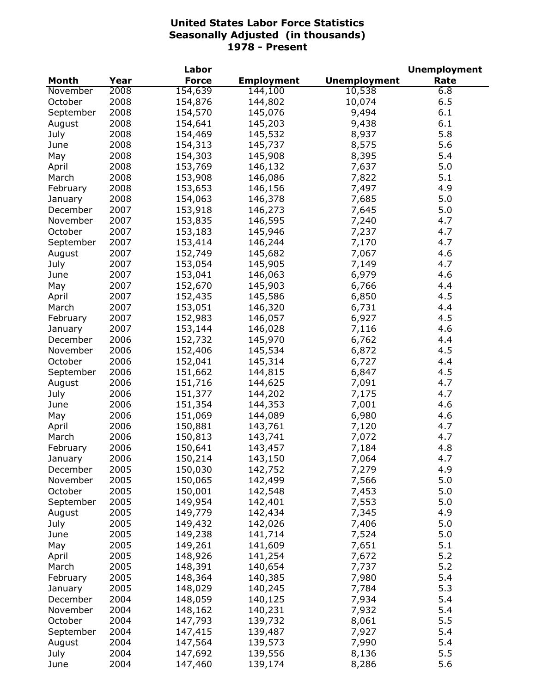|                |      | Labor        |                   |                     | <b>Unemployment</b> |
|----------------|------|--------------|-------------------|---------------------|---------------------|
| <b>Month</b>   | Year | <b>Force</b> | <b>Employment</b> | <b>Unemployment</b> | Rate                |
| November       | 2008 | 154,639      | 144,100           | 10,538              | 6.8                 |
| October        | 2008 | 154,876      | 144,802           | 10,074              | 6.5                 |
| September      | 2008 | 154,570      | 145,076           | 9,494               | 6.1                 |
| August         | 2008 | 154,641      | 145,203           | 9,438               | 6.1                 |
| July           | 2008 | 154,469      | 145,532           | 8,937               | 5.8                 |
| June           | 2008 | 154,313      | 145,737           | 8,575               | 5.6                 |
| May            | 2008 | 154,303      | 145,908           | 8,395               | 5.4                 |
| April          | 2008 | 153,769      | 146,132           | 7,637               | 5.0                 |
| March          | 2008 | 153,908      | 146,086           | 7,822               | 5.1                 |
| February       | 2008 | 153,653      | 146,156           | 7,497               | 4.9                 |
| January        | 2008 | 154,063      | 146,378           | 7,685               | 5.0                 |
| December       | 2007 | 153,918      | 146,273           | 7,645               | 5.0                 |
| November       | 2007 | 153,835      | 146,595           | 7,240               | 4.7                 |
| October        | 2007 | 153,183      | 145,946           | 7,237               | 4.7                 |
| September      | 2007 | 153,414      | 146,244           | 7,170               | 4.7                 |
| August         | 2007 | 152,749      | 145,682           | 7,067               | 4.6                 |
| July           | 2007 | 153,054      | 145,905           | 7,149               | 4.7                 |
| June           | 2007 | 153,041      | 146,063           | 6,979               | 4.6                 |
| May            | 2007 | 152,670      | 145,903           | 6,766               | 4.4                 |
|                | 2007 |              |                   |                     | 4.5                 |
| April<br>March | 2007 | 152,435      | 145,586           | 6,850               | 4.4                 |
|                |      | 153,051      | 146,320           | 6,731               |                     |
| February       | 2007 | 152,983      | 146,057           | 6,927               | 4.5                 |
| January        | 2007 | 153,144      | 146,028           | 7,116               | 4.6                 |
| December       | 2006 | 152,732      | 145,970           | 6,762               | 4.4                 |
| November       | 2006 | 152,406      | 145,534           | 6,872               | 4.5                 |
| October        | 2006 | 152,041      | 145,314           | 6,727               | 4.4                 |
| September      | 2006 | 151,662      | 144,815           | 6,847               | 4.5                 |
| August         | 2006 | 151,716      | 144,625           | 7,091               | 4.7                 |
| July           | 2006 | 151,377      | 144,202           | 7,175               | 4.7                 |
| June           | 2006 | 151,354      | 144,353           | 7,001               | 4.6                 |
| May            | 2006 | 151,069      | 144,089           | 6,980               | 4.6                 |
| April          | 2006 | 150,881      | 143,761           | 7,120               | 4.7                 |
| March          | 2006 | 150,813      | 143,741           | 7,072               | 4.7                 |
| February       | 2006 | 150,641      | 143,457           | 7,184               | 4.8                 |
| January        | 2006 | 150,214      | 143,150           | 7,064               | 4.7                 |
| December       | 2005 | 150,030      | 142,752           | 7,279               | 4.9                 |
| November       | 2005 | 150,065      | 142,499           | 7,566               | 5.0                 |
| October        | 2005 | 150,001      | 142,548           | 7,453               | 5.0                 |
| September      | 2005 | 149,954      | 142,401           | 7,553               | 5.0                 |
| August         | 2005 | 149,779      | 142,434           | 7,345               | 4.9                 |
| July           | 2005 | 149,432      | 142,026           | 7,406               | 5.0                 |
| June           | 2005 | 149,238      | 141,714           | 7,524               | 5.0                 |
| May            | 2005 | 149,261      | 141,609           | 7,651               | 5.1                 |
| April          | 2005 | 148,926      | 141,254           | 7,672               | 5.2                 |
| March          | 2005 | 148,391      | 140,654           | 7,737               | 5.2                 |
| February       | 2005 | 148,364      | 140,385           | 7,980               | 5.4                 |
| January        | 2005 | 148,029      | 140,245           | 7,784               | 5.3                 |
| December       | 2004 | 148,059      | 140,125           | 7,934               | 5.4                 |
| November       | 2004 | 148,162      | 140,231           | 7,932               | 5.4                 |
| October        | 2004 | 147,793      | 139,732           | 8,061               | 5.5                 |
| September      | 2004 | 147,415      | 139,487           | 7,927               | 5.4                 |
| August         | 2004 | 147,564      | 139,573           | 7,990               | 5.4                 |
| July           | 2004 | 147,692      | 139,556           | 8,136               | 5.5                 |
| June           | 2004 | 147,460      | 139,174           | 8,286               | 5.6                 |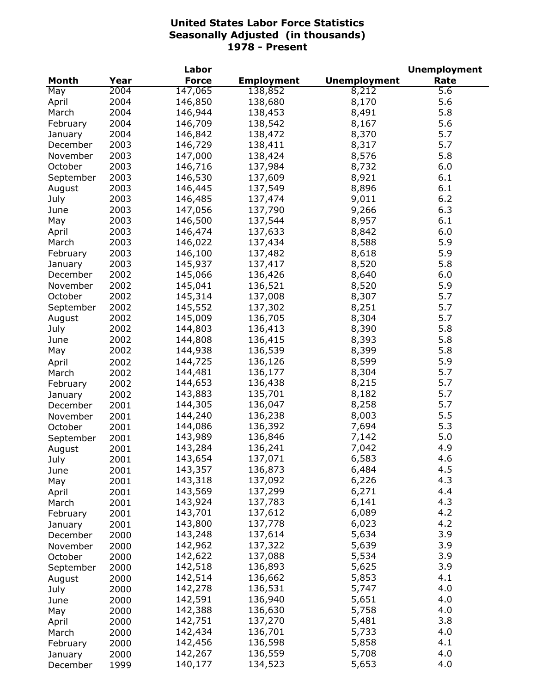|              |      | Labor        |                   |                     | <b>Unemployment</b> |
|--------------|------|--------------|-------------------|---------------------|---------------------|
| <b>Month</b> | Year | <b>Force</b> | <b>Employment</b> | <b>Unemployment</b> | Rate                |
| May          | 2004 | 147,065      | 138,852           | 8,212               | 5.6                 |
| April        | 2004 | 146,850      | 138,680           | 8,170               | 5.6                 |
| March        | 2004 | 146,944      | 138,453           | 8,491               | 5.8                 |
| February     | 2004 | 146,709      | 138,542           | 8,167               | 5.6                 |
| January      | 2004 | 146,842      | 138,472           | 8,370               | 5.7                 |
| December     | 2003 | 146,729      | 138,411           | 8,317               | 5.7                 |
| November     | 2003 | 147,000      | 138,424           | 8,576               | 5.8                 |
| October      | 2003 | 146,716      | 137,984           | 8,732               | 6.0                 |
| September    | 2003 | 146,530      | 137,609           | 8,921               | 6.1                 |
| August       | 2003 | 146,445      | 137,549           | 8,896               | 6.1                 |
| July         | 2003 | 146,485      | 137,474           | 9,011               | 6.2                 |
| June         | 2003 | 147,056      | 137,790           | 9,266               | 6.3                 |
| May          | 2003 | 146,500      | 137,544           | 8,957               | 6.1                 |
| April        | 2003 | 146,474      | 137,633           | 8,842               | 6.0                 |
| March        | 2003 | 146,022      | 137,434           | 8,588               | 5.9                 |
| February     | 2003 | 146,100      | 137,482           | 8,618               | 5.9                 |
| January      | 2003 | 145,937      | 137,417           | 8,520               | 5.8                 |
| December     | 2002 | 145,066      | 136,426           | 8,640               | 6.0                 |
| November     | 2002 | 145,041      | 136,521           | 8,520               | 5.9                 |
| October      | 2002 | 145,314      | 137,008           | 8,307               | 5.7                 |
| September    | 2002 | 145,552      | 137,302           | 8,251               | 5.7                 |
| August       | 2002 | 145,009      | 136,705           | 8,304               | 5.7                 |
| July         | 2002 | 144,803      | 136,413           | 8,390               | 5.8                 |
| June         | 2002 | 144,808      | 136,415           | 8,393               | 5.8                 |
| May          | 2002 | 144,938      | 136,539           | 8,399               | 5.8                 |
| April        | 2002 | 144,725      | 136,126           | 8,599               | 5.9                 |
| March        | 2002 | 144,481      | 136,177           | 8,304               | 5.7                 |
| February     | 2002 | 144,653      | 136,438           | 8,215               | 5.7                 |
| January      | 2002 | 143,883      | 135,701           | 8,182               | 5.7                 |
| December     | 2001 | 144,305      | 136,047           | 8,258               | 5.7                 |
| November     | 2001 | 144,240      | 136,238           | 8,003               | 5.5                 |
| October      | 2001 | 144,086      | 136,392           | 7,694               | 5.3                 |
| September    | 2001 | 143,989      | 136,846           | 7,142               | 5.0                 |
| August       | 2001 | 143,284      | 136,241           | 7,042               | 4.9                 |
| July         | 2001 | 143,654      | 137,071           | 6,583               | 4.6                 |
| June         | 2001 | 143,357      | 136,873           | 6,484               | 4.5                 |
| May          | 2001 | 143,318      | 137,092           | 6,226               | 4.3                 |
| April        | 2001 | 143,569      | 137,299           | 6,271               | 4.4                 |
| March        | 2001 | 143,924      | 137,783           | 6,141               | 4.3                 |
| February     | 2001 | 143,701      | 137,612           | 6,089               | 4.2                 |
| January      | 2001 | 143,800      | 137,778           | 6,023               | 4.2                 |
| December     | 2000 | 143,248      | 137,614           | 5,634               | 3.9                 |
| November     | 2000 | 142,962      | 137,322           | 5,639               | 3.9                 |
| October      | 2000 | 142,622      | 137,088           | 5,534               | 3.9                 |
| September    | 2000 | 142,518      | 136,893           | 5,625               | 3.9                 |
| August       | 2000 | 142,514      | 136,662           | 5,853               | 4.1                 |
| July         | 2000 | 142,278      | 136,531           | 5,747               | 4.0                 |
| June         | 2000 | 142,591      | 136,940           | 5,651               | 4.0                 |
| May          | 2000 | 142,388      | 136,630           | 5,758               | 4.0                 |
| April        | 2000 | 142,751      | 137,270           | 5,481               | 3.8                 |
| March        | 2000 | 142,434      | 136,701           | 5,733               | 4.0                 |
| February     | 2000 | 142,456      | 136,598           | 5,858               | 4.1                 |
| January      | 2000 | 142,267      | 136,559           | 5,708               | 4.0                 |
| December     | 1999 | 140,177      | 134,523           | 5,653               | 4.0                 |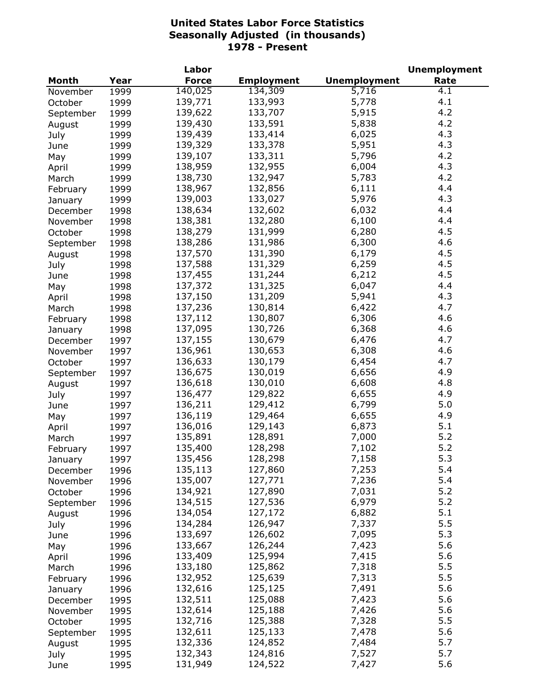|              |      | Labor        |                   |                     | <b>Unemployment</b> |
|--------------|------|--------------|-------------------|---------------------|---------------------|
| <b>Month</b> | Year | <b>Force</b> | <b>Employment</b> | <b>Unemployment</b> | Rate                |
| November     | 1999 | 140,025      | 134,309           | 5,716               | 4.1                 |
| October      | 1999 | 139,771      | 133,993           | 5,778               | 4.1                 |
| September    | 1999 | 139,622      | 133,707           | 5,915               | 4.2                 |
| August       | 1999 | 139,430      | 133,591           | 5,838               | 4.2                 |
| July         | 1999 | 139,439      | 133,414           | 6,025               | 4.3                 |
| June         | 1999 | 139,329      | 133,378           | 5,951               | 4.3                 |
| May          | 1999 | 139,107      | 133,311           | 5,796               | 4.2                 |
| April        | 1999 | 138,959      | 132,955           | 6,004               | 4.3                 |
| March        | 1999 | 138,730      | 132,947           | 5,783               | 4.2                 |
| February     | 1999 | 138,967      | 132,856           | 6,111               | 4.4                 |
| January      | 1999 | 139,003      | 133,027           | 5,976               | 4.3                 |
| December     | 1998 | 138,634      | 132,602           | 6,032               | 4.4                 |
| November     | 1998 | 138,381      | 132,280           | 6,100               | 4.4                 |
| October      | 1998 | 138,279      | 131,999           | 6,280               | 4.5                 |
|              | 1998 | 138,286      | 131,986           | 6,300               | 4.6                 |
| September    |      | 137,570      | 131,390           | 6,179               | 4.5                 |
| August       | 1998 | 137,588      | 131,329           | 6,259               | 4.5                 |
| July         | 1998 |              | 131,244           |                     | 4.5                 |
| June         | 1998 | 137,455      |                   | 6,212               |                     |
| May          | 1998 | 137,372      | 131,325           | 6,047               | 4.4                 |
| April        | 1998 | 137,150      | 131,209           | 5,941               | 4.3                 |
| March        | 1998 | 137,236      | 130,814           | 6,422               | 4.7                 |
| February     | 1998 | 137,112      | 130,807           | 6,306               | 4.6                 |
| January      | 1998 | 137,095      | 130,726           | 6,368               | 4.6                 |
| December     | 1997 | 137,155      | 130,679           | 6,476               | 4.7                 |
| November     | 1997 | 136,961      | 130,653           | 6,308               | 4.6                 |
| October      | 1997 | 136,633      | 130,179           | 6,454               | 4.7                 |
| September    | 1997 | 136,675      | 130,019           | 6,656               | 4.9                 |
| August       | 1997 | 136,618      | 130,010           | 6,608               | 4.8                 |
| July         | 1997 | 136,477      | 129,822           | 6,655               | 4.9                 |
| June         | 1997 | 136,211      | 129,412           | 6,799               | 5.0                 |
| May          | 1997 | 136,119      | 129,464           | 6,655               | 4.9                 |
| April        | 1997 | 136,016      | 129,143           | 6,873               | 5.1                 |
| March        | 1997 | 135,891      | 128,891           | 7,000               | 5.2                 |
| February     | 1997 | 135,400      | 128,298           | 7,102               | 5.2                 |
| January      | 1997 | 135,456      | 128,298           | 7,158               | 5.3                 |
| December     | 1996 | 135,113      | 127,860           | 7,253               | 5.4                 |
| November     | 1996 | 135,007      | 127,771           | 7,236               | 5.4                 |
| October      | 1996 | 134,921      | 127,890           | 7,031               | 5.2                 |
| September    | 1996 | 134,515      | 127,536           | 6,979               | 5.2                 |
| August       | 1996 | 134,054      | 127,172           | 6,882               | 5.1                 |
| July         | 1996 | 134,284      | 126,947           | 7,337               | 5.5                 |
| June         | 1996 | 133,697      | 126,602           | 7,095               | 5.3                 |
| May          | 1996 | 133,667      | 126,244           | 7,423               | 5.6                 |
| April        | 1996 | 133,409      | 125,994           | 7,415               | 5.6                 |
| March        | 1996 | 133,180      | 125,862           | 7,318               | 5.5                 |
| February     | 1996 | 132,952      | 125,639           | 7,313               | 5.5                 |
| January      | 1996 | 132,616      | 125,125           | 7,491               | 5.6                 |
| December     | 1995 | 132,511      | 125,088           | 7,423               | 5.6                 |
| November     | 1995 | 132,614      | 125,188           | 7,426               | 5.6                 |
| October      | 1995 | 132,716      | 125,388           | 7,328               | 5.5                 |
| September    | 1995 | 132,611      | 125,133           | 7,478               | 5.6                 |
| August       | 1995 | 132,336      | 124,852           | 7,484               | 5.7                 |
| July         | 1995 | 132,343      | 124,816           | 7,527               | 5.7                 |
| June         | 1995 | 131,949      | 124,522           | 7,427               | 5.6                 |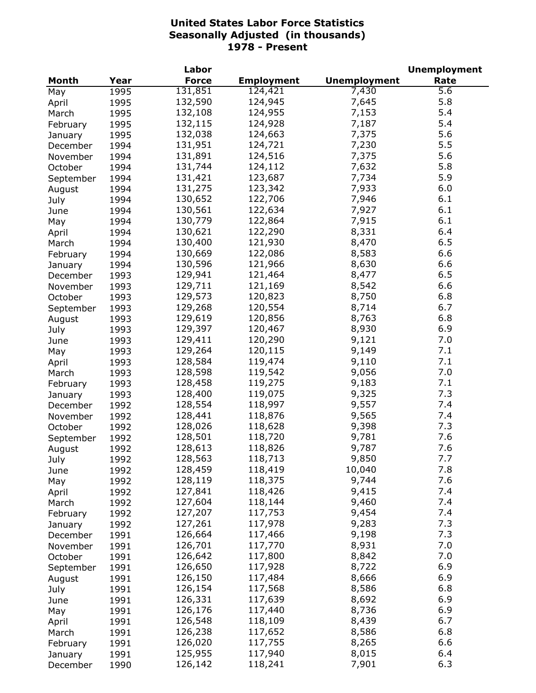|           |      | Labor        |                   |                     | <b>Unemployment</b> |
|-----------|------|--------------|-------------------|---------------------|---------------------|
| Month     | Year | <b>Force</b> | <b>Employment</b> | <b>Unemployment</b> | Rate                |
| May       | 1995 | 131,851      | 124,421           | 7,430               | $\overline{5.6}$    |
| April     | 1995 | 132,590      | 124,945           | 7,645               | 5.8                 |
| March     | 1995 | 132,108      | 124,955           | 7,153               | 5.4                 |
| February  | 1995 | 132,115      | 124,928           | 7,187               | 5.4                 |
| January   | 1995 | 132,038      | 124,663           | 7,375               | 5.6                 |
| December  | 1994 | 131,951      | 124,721           | 7,230               | 5.5                 |
| November  | 1994 | 131,891      | 124,516           | 7,375               | 5.6                 |
| October   | 1994 | 131,744      | 124,112           | 7,632               | 5.8                 |
|           |      | 131,421      | 123,687           | 7,734               | 5.9                 |
| September | 1994 |              | 123,342           | 7,933               | 6.0                 |
| August    | 1994 | 131,275      |                   |                     |                     |
| July      | 1994 | 130,652      | 122,706           | 7,946               | 6.1                 |
| June      | 1994 | 130,561      | 122,634           | 7,927               | 6.1                 |
| May       | 1994 | 130,779      | 122,864           | 7,915               | 6.1                 |
| April     | 1994 | 130,621      | 122,290           | 8,331               | 6.4                 |
| March     | 1994 | 130,400      | 121,930           | 8,470               | 6.5                 |
| February  | 1994 | 130,669      | 122,086           | 8,583               | 6.6                 |
| January   | 1994 | 130,596      | 121,966           | 8,630               | 6.6                 |
| December  | 1993 | 129,941      | 121,464           | 8,477               | 6.5                 |
| November  | 1993 | 129,711      | 121,169           | 8,542               | 6.6                 |
| October   | 1993 | 129,573      | 120,823           | 8,750               | 6.8                 |
| September | 1993 | 129,268      | 120,554           | 8,714               | 6.7                 |
| August    | 1993 | 129,619      | 120,856           | 8,763               | 6.8                 |
| July      | 1993 | 129,397      | 120,467           | 8,930               | 6.9                 |
| June      | 1993 | 129,411      | 120,290           | 9,121               | 7.0                 |
| May       | 1993 | 129,264      | 120,115           | 9,149               | 7.1                 |
| April     | 1993 | 128,584      | 119,474           | 9,110               | 7.1                 |
| March     | 1993 | 128,598      | 119,542           | 9,056               | 7.0                 |
|           |      | 128,458      | 119,275           | 9,183               | 7.1                 |
| February  | 1993 | 128,400      | 119,075           | 9,325               | 7.3                 |
| January   | 1993 |              |                   |                     | 7.4                 |
| December  | 1992 | 128,554      | 118,997           | 9,557               |                     |
| November  | 1992 | 128,441      | 118,876           | 9,565               | 7.4                 |
| October   | 1992 | 128,026      | 118,628           | 9,398               | 7.3                 |
| September | 1992 | 128,501      | 118,720           | 9,781               | 7.6                 |
| August    | 1992 | 128,613      | 118,826           | 9,787               | 7.6                 |
| July      | 1992 | 128,563      | 118,713           | 9,850               | 7.7                 |
| June      | 1992 | 128,459      | 118,419           | 10,040              | 7.8                 |
| May       | 1992 | 128,119      | 118,375           | 9,744               | 7.6                 |
| April     | 1992 | 127,841      | 118,426           | 9,415               | 7.4                 |
| March     | 1992 | 127,604      | 118,144           | 9,460               | 7.4                 |
| February  | 1992 | 127,207      | 117,753           | 9,454               | 7.4                 |
| January   | 1992 | 127,261      | 117,978           | 9,283               | 7.3                 |
| December  | 1991 | 126,664      | 117,466           | 9,198               | 7.3                 |
| November  | 1991 | 126,701      | 117,770           | 8,931               | 7.0                 |
| October   | 1991 | 126,642      | 117,800           | 8,842               | 7.0                 |
| September | 1991 | 126,650      | 117,928           | 8,722               | 6.9                 |
| August    | 1991 | 126,150      | 117,484           | 8,666               | 6.9                 |
|           |      | 126,154      | 117,568           | 8,586               | 6.8                 |
| July      | 1991 |              |                   |                     |                     |
| June      | 1991 | 126,331      | 117,639           | 8,692               | 6.9                 |
| May       | 1991 | 126,176      | 117,440           | 8,736               | 6.9                 |
| April     | 1991 | 126,548      | 118,109           | 8,439               | 6.7                 |
| March     | 1991 | 126,238      | 117,652           | 8,586               | 6.8                 |
| February  | 1991 | 126,020      | 117,755           | 8,265               | 6.6                 |
| January   | 1991 | 125,955      | 117,940           | 8,015               | 6.4                 |
| December  | 1990 | 126,142      | 118,241           | 7,901               | 6.3                 |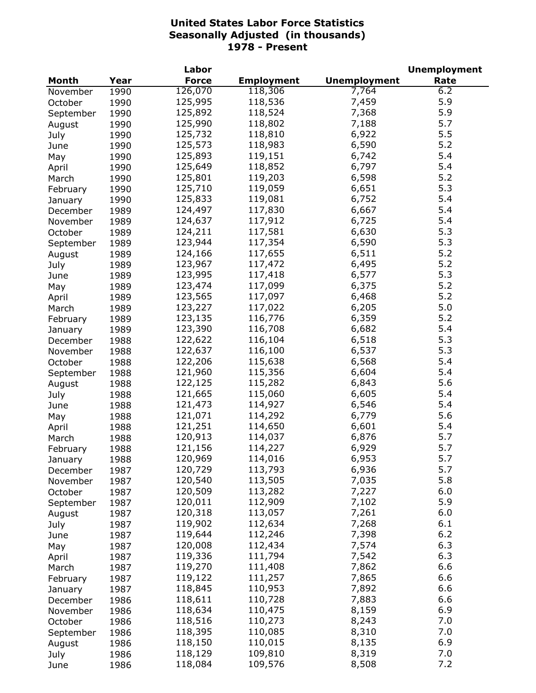|           |      | Labor        |                   |                     | <b>Unemployment</b> |
|-----------|------|--------------|-------------------|---------------------|---------------------|
| Month     | Year | <b>Force</b> | <b>Employment</b> | <b>Unemployment</b> | Rate                |
| November  | 1990 | 126,070      | 118,306           | 7,764               | 6.2                 |
| October   | 1990 | 125,995      | 118,536           | 7,459               | 5.9                 |
| September | 1990 | 125,892      | 118,524           | 7,368               | 5.9                 |
| August    | 1990 | 125,990      | 118,802           | 7,188               | 5.7                 |
| July      | 1990 | 125,732      | 118,810           | 6,922               | 5.5                 |
| June      | 1990 | 125,573      | 118,983           | 6,590               | 5.2                 |
| May       | 1990 | 125,893      | 119,151           | 6,742               | 5.4                 |
|           |      | 125,649      | 118,852           | 6,797               | 5.4                 |
| April     | 1990 | 125,801      |                   | 6,598               | 5.2                 |
| March     | 1990 |              | 119,203           |                     | 5.3                 |
| February  | 1990 | 125,710      | 119,059           | 6,651               |                     |
| January   | 1990 | 125,833      | 119,081           | 6,752               | 5.4                 |
| December  | 1989 | 124,497      | 117,830           | 6,667               | 5.4                 |
| November  | 1989 | 124,637      | 117,912           | 6,725               | 5.4                 |
| October   | 1989 | 124,211      | 117,581           | 6,630               | 5.3                 |
| September | 1989 | 123,944      | 117,354           | 6,590               | 5.3                 |
| August    | 1989 | 124,166      | 117,655           | 6,511               | 5.2                 |
| July      | 1989 | 123,967      | 117,472           | 6,495               | 5.2                 |
| June      | 1989 | 123,995      | 117,418           | 6,577               | 5.3                 |
| May       | 1989 | 123,474      | 117,099           | 6,375               | 5.2                 |
| April     | 1989 | 123,565      | 117,097           | 6,468               | 5.2                 |
| March     | 1989 | 123,227      | 117,022           | 6,205               | 5.0                 |
| February  | 1989 | 123,135      | 116,776           | 6,359               | 5.2                 |
| January   | 1989 | 123,390      | 116,708           | 6,682               | 5.4                 |
| December  | 1988 | 122,622      | 116,104           | 6,518               | 5.3                 |
|           |      | 122,637      | 116,100           | 6,537               | 5.3                 |
| November  | 1988 |              |                   |                     | 5.4                 |
| October   | 1988 | 122,206      | 115,638           | 6,568               |                     |
| September | 1988 | 121,960      | 115,356           | 6,604               | 5.4                 |
| August    | 1988 | 122,125      | 115,282           | 6,843               | 5.6                 |
| July      | 1988 | 121,665      | 115,060           | 6,605               | 5.4                 |
| June      | 1988 | 121,473      | 114,927           | 6,546               | 5.4                 |
| May       | 1988 | 121,071      | 114,292           | 6,779               | 5.6                 |
| April     | 1988 | 121,251      | 114,650           | 6,601               | 5.4                 |
| March     | 1988 | 120,913      | 114,037           | 6,876               | 5.7                 |
| February  | 1988 | 121,156      | 114,227           | 6,929               | 5.7                 |
| January   | 1988 | 120,969      | 114,016           | 6,953               | 5.7                 |
| December  | 1987 | 120,729      | 113,793           | 6,936               | 5.7                 |
| November  | 1987 | 120,540      | 113,505           | 7,035               | 5.8                 |
| October   | 1987 | 120,509      | 113,282           | 7,227               | 6.0                 |
| September | 1987 | 120,011      | 112,909           | 7,102               | 5.9                 |
| August    | 1987 | 120,318      | 113,057           | 7,261               | 6.0                 |
| July      | 1987 | 119,902      | 112,634           | 7,268               | 6.1                 |
|           |      | 119,644      | 112,246           | 7,398               | 6.2                 |
| June      | 1987 |              |                   |                     |                     |
| May       | 1987 | 120,008      | 112,434           | 7,574               | 6.3                 |
| April     | 1987 | 119,336      | 111,794           | 7,542               | 6.3                 |
| March     | 1987 | 119,270      | 111,408           | 7,862               | 6.6                 |
| February  | 1987 | 119,122      | 111,257           | 7,865               | 6.6                 |
| January   | 1987 | 118,845      | 110,953           | 7,892               | 6.6                 |
| December  | 1986 | 118,611      | 110,728           | 7,883               | 6.6                 |
| November  | 1986 | 118,634      | 110,475           | 8,159               | 6.9                 |
| October   | 1986 | 118,516      | 110,273           | 8,243               | 7.0                 |
| September | 1986 | 118,395      | 110,085           | 8,310               | 7.0                 |
| August    | 1986 | 118,150      | 110,015           | 8,135               | 6.9                 |
| July      | 1986 | 118,129      | 109,810           | 8,319               | 7.0                 |
| June      | 1986 | 118,084      | 109,576           | 8,508               | 7.2                 |
|           |      |              |                   |                     |                     |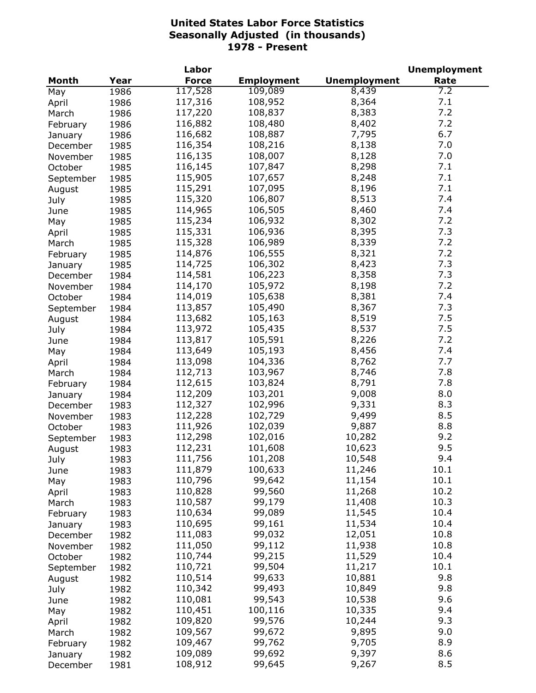|              |      | Labor        |                   |                     | <b>Unemployment</b> |
|--------------|------|--------------|-------------------|---------------------|---------------------|
| <b>Month</b> | Year | <b>Force</b> | <b>Employment</b> | <b>Unemployment</b> | Rate                |
| May          | 1986 | 117,528      | 109,089           | 8,439               | 7.2                 |
| April        | 1986 | 117,316      | 108,952           | 8,364               | 7.1                 |
| March        | 1986 | 117,220      | 108,837           | 8,383               | 7.2                 |
| February     | 1986 | 116,882      | 108,480           | 8,402               | 7.2                 |
| January      | 1986 | 116,682      | 108,887           | 7,795               | 6.7                 |
| December     | 1985 | 116,354      | 108,216           | 8,138               | 7.0                 |
| November     | 1985 | 116,135      | 108,007           | 8,128               | 7.0                 |
| October      | 1985 | 116,145      | 107,847           | 8,298               | 7.1                 |
| September    | 1985 | 115,905      | 107,657           | 8,248               | 7.1                 |
|              | 1985 | 115,291      | 107,095           | 8,196               | 7.1                 |
| August       |      | 115,320      | 106,807           | 8,513               | 7.4                 |
| July         | 1985 |              |                   |                     | 7.4                 |
| June         | 1985 | 114,965      | 106,505           | 8,460               |                     |
| May          | 1985 | 115,234      | 106,932           | 8,302               | 7.2                 |
| April        | 1985 | 115,331      | 106,936           | 8,395               | 7.3                 |
| March        | 1985 | 115,328      | 106,989           | 8,339               | 7.2                 |
| February     | 1985 | 114,876      | 106,555           | 8,321               | 7.2                 |
| January      | 1985 | 114,725      | 106,302           | 8,423               | 7.3                 |
| December     | 1984 | 114,581      | 106,223           | 8,358               | 7.3                 |
| November     | 1984 | 114,170      | 105,972           | 8,198               | 7.2                 |
| October      | 1984 | 114,019      | 105,638           | 8,381               | 7.4                 |
| September    | 1984 | 113,857      | 105,490           | 8,367               | 7.3                 |
| August       | 1984 | 113,682      | 105,163           | 8,519               | 7.5                 |
| July         | 1984 | 113,972      | 105,435           | 8,537               | 7.5                 |
| June         | 1984 | 113,817      | 105,591           | 8,226               | 7.2                 |
| May          | 1984 | 113,649      | 105,193           | 8,456               | 7.4                 |
| April        | 1984 | 113,098      | 104,336           | 8,762               | 7.7                 |
| March        | 1984 | 112,713      | 103,967           | 8,746               | 7.8                 |
| February     | 1984 | 112,615      | 103,824           | 8,791               | 7.8                 |
| January      | 1984 | 112,209      | 103,201           | 9,008               | 8.0                 |
| December     | 1983 | 112,327      | 102,996           | 9,331               | 8.3                 |
| November     | 1983 | 112,228      | 102,729           | 9,499               | 8.5                 |
| October      | 1983 | 111,926      | 102,039           | 9,887               | 8.8                 |
| September    | 1983 | 112,298      | 102,016           | 10,282              | 9.2                 |
|              | 1983 | 112,231      | 101,608           | 10,623              | 9.5                 |
| August       |      | 111,756      | 101,208           |                     | 9.4                 |
| July         | 1983 |              |                   | 10,548              | 10.1                |
| June         | 1983 | 111,879      | 100,633           | 11,246              |                     |
| May          | 1983 | 110,796      | 99,642            | 11,154              | 10.1                |
| April        | 1983 | 110,828      | 99,560            | 11,268              | 10.2                |
| March        | 1983 | 110,587      | 99,179            | 11,408              | 10.3                |
| February     | 1983 | 110,634      | 99,089            | 11,545              | 10.4                |
| January      | 1983 | 110,695      | 99,161            | 11,534              | 10.4                |
| December     | 1982 | 111,083      | 99,032            | 12,051              | 10.8                |
| November     | 1982 | 111,050      | 99,112            | 11,938              | 10.8                |
| October      | 1982 | 110,744      | 99,215            | 11,529              | 10.4                |
| September    | 1982 | 110,721      | 99,504            | 11,217              | 10.1                |
| August       | 1982 | 110,514      | 99,633            | 10,881              | 9.8                 |
| July         | 1982 | 110,342      | 99,493            | 10,849              | 9.8                 |
| June         | 1982 | 110,081      | 99,543            | 10,538              | 9.6                 |
| May          | 1982 | 110,451      | 100,116           | 10,335              | 9.4                 |
| April        | 1982 | 109,820      | 99,576            | 10,244              | 9.3                 |
| March        | 1982 | 109,567      | 99,672            | 9,895               | 9.0                 |
| February     | 1982 | 109,467      | 99,762            | 9,705               | 8.9                 |
| January      | 1982 | 109,089      | 99,692            | 9,397               | 8.6                 |
| December     | 1981 | 108,912      | 99,645            | 9,267               | 8.5                 |